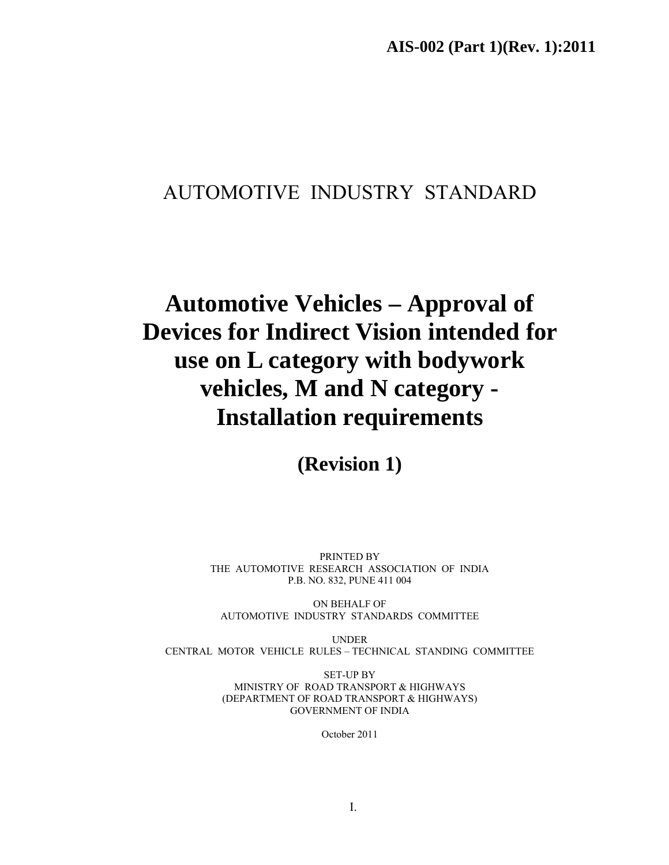# AUTOMOTIVE INDUSTRY STANDARD

# **Automotive Vehicles – Approval of Devices for Indirect Vision intended for use on L category with bodywork vehicles, M and N category - Installation requirements**

**(Revision 1)** 

PRINTED BY THE AUTOMOTIVE RESEARCH ASSOCIATION OF INDIA P.B. NO. 832, PUNE 411 004

ON BEHALF OF AUTOMOTIVE INDUSTRY STANDARDS COMMITTEE

UNDER CENTRAL MOTOR VEHICLE RULES – TECHNICAL STANDING COMMITTEE

> SET-UP BY MINISTRY OF ROAD TRANSPORT & HIGHWAYS (DEPARTMENT OF ROAD TRANSPORT & HIGHWAYS) GOVERNMENT OF INDIA

> > October 2011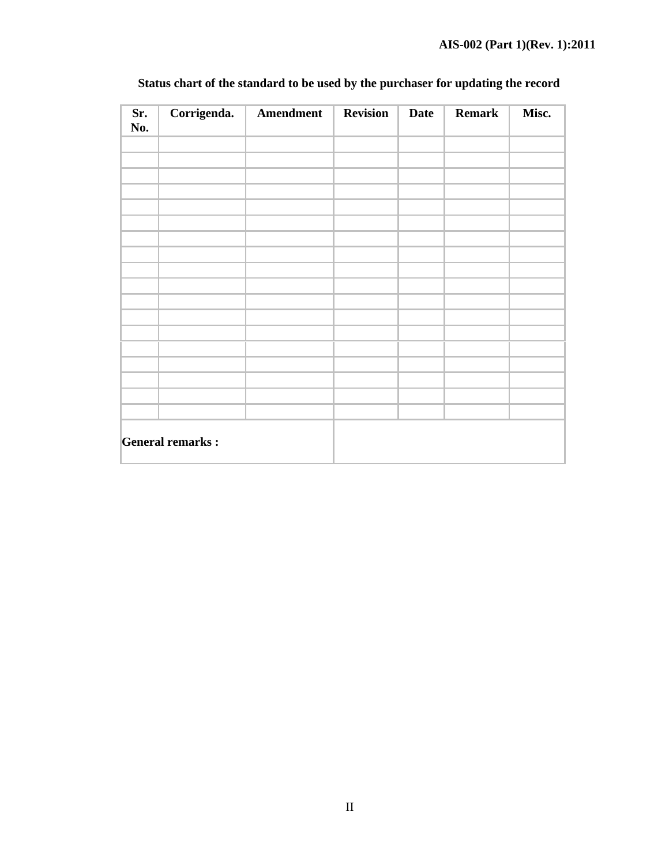| Sr.<br>No. | Corrigenda.             | Amendment | <b>Revision</b> | <b>Date</b> | <b>Remark</b> | Misc. |
|------------|-------------------------|-----------|-----------------|-------------|---------------|-------|
|            |                         |           |                 |             |               |       |
|            |                         |           |                 |             |               |       |
|            |                         |           |                 |             |               |       |
|            |                         |           |                 |             |               |       |
|            |                         |           |                 |             |               |       |
|            |                         |           |                 |             |               |       |
|            |                         |           |                 |             |               |       |
|            |                         |           |                 |             |               |       |
|            |                         |           |                 |             |               |       |
|            |                         |           |                 |             |               |       |
|            |                         |           |                 |             |               |       |
|            |                         |           |                 |             |               |       |
|            |                         |           |                 |             |               |       |
|            |                         |           |                 |             |               |       |
|            |                         |           |                 |             |               |       |
|            | <b>General remarks:</b> |           |                 |             |               |       |

# **Status chart of the standard to be used by the purchaser for updating the record**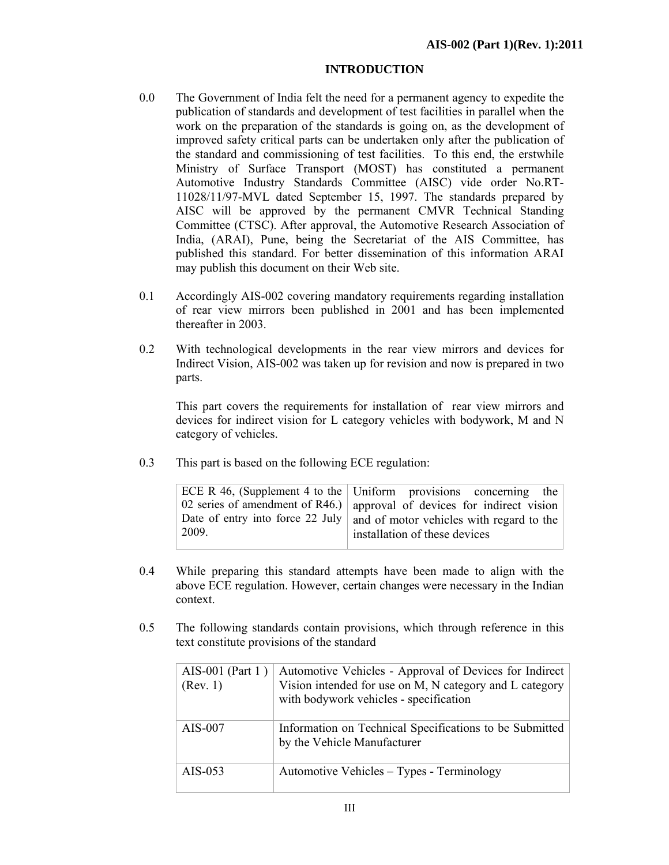### **INTRODUCTION**

- 0.0 The Government of India felt the need for a permanent agency to expedite the publication of standards and development of test facilities in parallel when the work on the preparation of the standards is going on, as the development of improved safety critical parts can be undertaken only after the publication of the standard and commissioning of test facilities. To this end, the erstwhile Ministry of Surface Transport (MOST) has constituted a permanent Automotive Industry Standards Committee (AISC) vide order No.RT-11028/11/97-MVL dated September 15, 1997. The standards prepared by AISC will be approved by the permanent CMVR Technical Standing Committee (CTSC). After approval, the Automotive Research Association of India, (ARAI), Pune, being the Secretariat of the AIS Committee, has published this standard. For better dissemination of this information ARAI may publish this document on their Web site.
- 0.1 Accordingly AIS-002 covering mandatory requirements regarding installation of rear view mirrors been published in 2001 and has been implemented thereafter in 2003.
- 0.2 With technological developments in the rear view mirrors and devices for Indirect Vision, AIS-002 was taken up for revision and now is prepared in two parts.

This part covers the requirements for installation of rear view mirrors and devices for indirect vision for L category vehicles with bodywork, M and N category of vehicles.

0.3 This part is based on the following ECE regulation:

|       | ECE R 46, (Supplement 4 to the Uniform provisions concerning the            |
|-------|-----------------------------------------------------------------------------|
|       | 02 series of amendment of R46.) approval of devices for indirect vision     |
|       | Date of entry into force 22 July   and of motor vehicles with regard to the |
| 2009. | installation of these devices                                               |
|       |                                                                             |

- 0.4 While preparing this standard attempts have been made to align with the above ECE regulation. However, certain changes were necessary in the Indian context.
- 0.5 The following standards contain provisions, which through reference in this text constitute provisions of the standard

| AIS-001 (Part 1)<br>(Rev. 1) | Automotive Vehicles - Approval of Devices for Indirect<br>Vision intended for use on M, N category and L category<br>with bodywork vehicles - specification |
|------------------------------|-------------------------------------------------------------------------------------------------------------------------------------------------------------|
| AIS-007                      | Information on Technical Specifications to be Submitted<br>by the Vehicle Manufacturer                                                                      |
| AIS-053                      | Automotive Vehicles – Types - Terminology                                                                                                                   |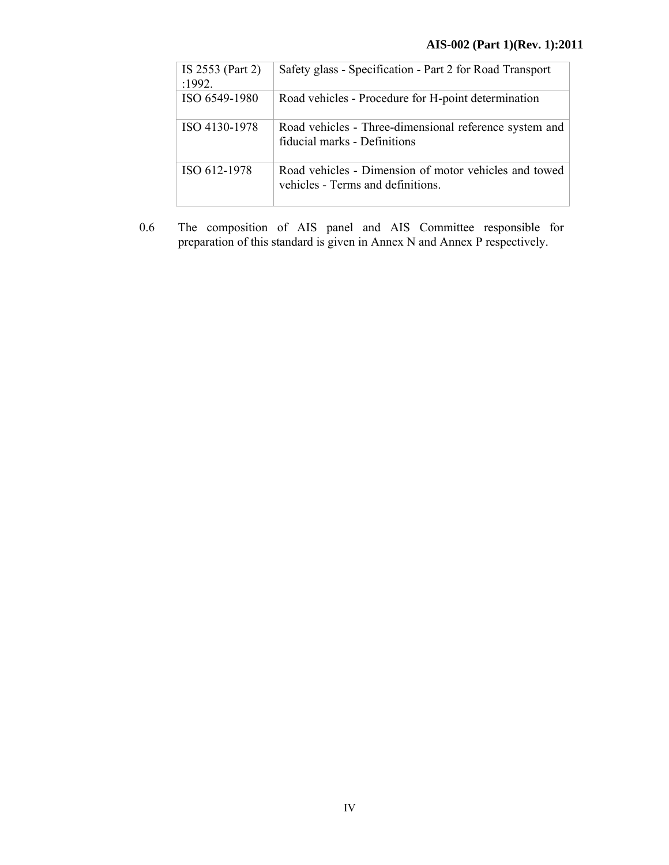| IS 2553 (Part 2)<br>:1992. | Safety glass - Specification - Part 2 for Road Transport                                   |
|----------------------------|--------------------------------------------------------------------------------------------|
| ISO 6549-1980              | Road vehicles - Procedure for H-point determination                                        |
| ISO 4130-1978              | Road vehicles - Three-dimensional reference system and<br>fiducial marks - Definitions     |
| ISO 612-1978               | Road vehicles - Dimension of motor vehicles and towed<br>vehicles - Terms and definitions. |

0.6 The composition of AIS panel and AIS Committee responsible for preparation of this standard is given in Annex N and Annex P respectively.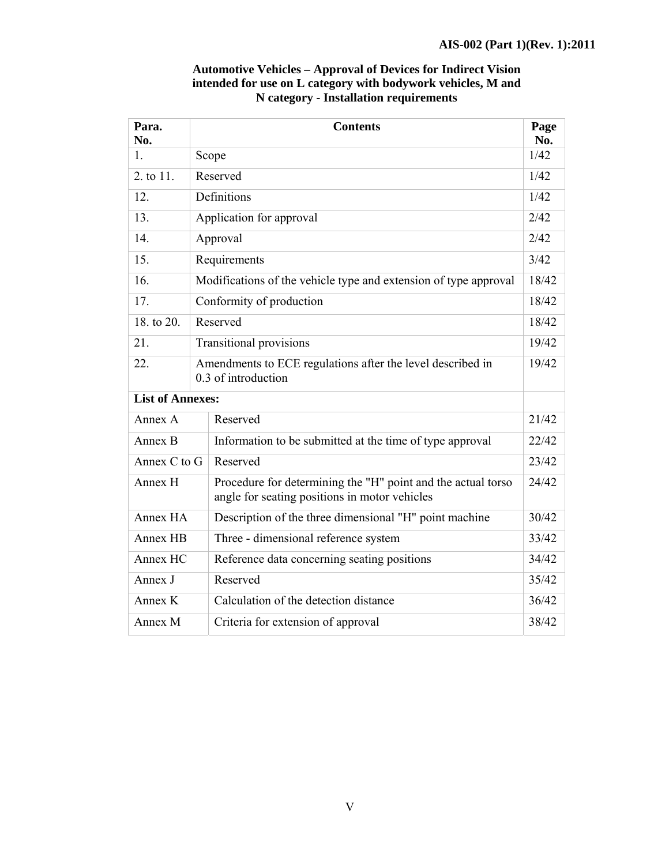| Para.<br>No.            | <b>Contents</b>                                                                                               |                                                                  |       |  |  |
|-------------------------|---------------------------------------------------------------------------------------------------------------|------------------------------------------------------------------|-------|--|--|
| $\mathbf{1}$            |                                                                                                               | Scope                                                            |       |  |  |
| 2. to 11.               |                                                                                                               | Reserved                                                         |       |  |  |
| 12.                     |                                                                                                               | Definitions                                                      |       |  |  |
| 13.                     |                                                                                                               | Application for approval                                         | 2/42  |  |  |
| 14.                     |                                                                                                               | Approval                                                         | 2/42  |  |  |
| 15.                     |                                                                                                               | Requirements                                                     | 3/42  |  |  |
| 16.                     |                                                                                                               | Modifications of the vehicle type and extension of type approval | 18/42 |  |  |
| 17.                     |                                                                                                               | Conformity of production                                         | 18/42 |  |  |
| 18. to 20.              |                                                                                                               | Reserved                                                         |       |  |  |
| 21.                     |                                                                                                               | <b>Transitional provisions</b>                                   |       |  |  |
| 22.                     | Amendments to ECE regulations after the level described in<br>0.3 of introduction                             |                                                                  |       |  |  |
| <b>List of Annexes:</b> |                                                                                                               |                                                                  |       |  |  |
| Annex A                 |                                                                                                               | Reserved                                                         |       |  |  |
| Annex B                 |                                                                                                               | Information to be submitted at the time of type approval         |       |  |  |
| Annex C to G            |                                                                                                               | Reserved                                                         |       |  |  |
| Annex H                 | Procedure for determining the "H" point and the actual torso<br>angle for seating positions in motor vehicles |                                                                  | 24/42 |  |  |
| Annex HA                | Description of the three dimensional "H" point machine                                                        |                                                                  | 30/42 |  |  |
| Annex HB                |                                                                                                               | Three - dimensional reference system                             |       |  |  |
| Annex HC                |                                                                                                               | Reference data concerning seating positions                      | 34/42 |  |  |
| Annex J                 |                                                                                                               | Reserved                                                         | 35/42 |  |  |
| Annex K                 |                                                                                                               | Calculation of the detection distance                            |       |  |  |
| Annex M                 |                                                                                                               | Criteria for extension of approval                               |       |  |  |

## **Automotive Vehicles – Approval of Devices for Indirect Vision intended for use on L category with bodywork vehicles, M and N category - Installation requirements**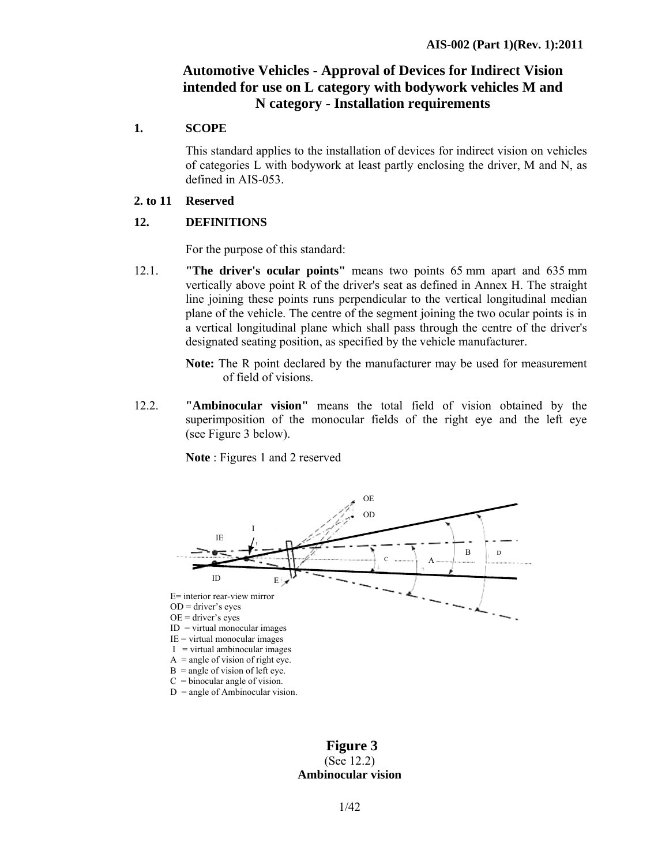# **Automotive Vehicles - Approval of Devices for Indirect Vision intended for use on L category with bodywork vehicles M and N category - Installation requirements**

### **1. SCOPE**

This standard applies to the installation of devices for indirect vision on vehicles of categories L with bodywork at least partly enclosing the driver, M and N, as defined in AIS-053.

### **2. to 11 Reserved**

### **12. DEFINITIONS**

For the purpose of this standard:

12.1. **"The driver's ocular points"** means two points 65 mm apart and 635 mm vertically above point R of the driver's seat as defined in Annex H. The straight line joining these points runs perpendicular to the vertical longitudinal median plane of the vehicle. The centre of the segment joining the two ocular points is in a vertical longitudinal plane which shall pass through the centre of the driver's designated seating position, as specified by the vehicle manufacturer.

> **Note:** The R point declared by the manufacturer may be used for measurement of field of visions.

12.2. **"Ambinocular vision"** means the total field of vision obtained by the superimposition of the monocular fields of the right eye and the left eye (see Figure 3 below).

**Note** : Figures 1 and 2 reserved



### **Figure 3**  (See 12.2) **Ambinocular vision**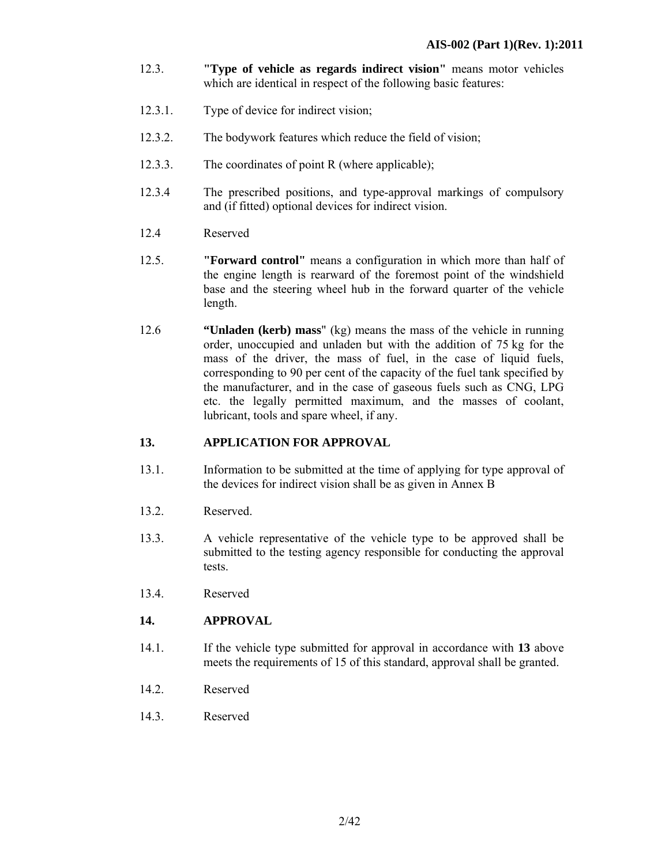- 12.3. **"Type of vehicle as regards indirect vision"** means motor vehicles which are identical in respect of the following basic features:
- 12.3.1. Type of device for indirect vision;
- 12.3.2. The bodywork features which reduce the field of vision;
- 12.3.3. The coordinates of point R (where applicable);
- 12.3.4 The prescribed positions, and type-approval markings of compulsory and (if fitted) optional devices for indirect vision.
- 12.4 Reserved
- 12.5. **"Forward control"** means a configuration in which more than half of the engine length is rearward of the foremost point of the windshield base and the steering wheel hub in the forward quarter of the vehicle length.
- 12.6 **"Unladen (kerb) mass**" (kg) means the mass of the vehicle in running order, unoccupied and unladen but with the addition of 75 kg for the mass of the driver, the mass of fuel, in the case of liquid fuels, corresponding to 90 per cent of the capacity of the fuel tank specified by the manufacturer, and in the case of gaseous fuels such as CNG, LPG etc. the legally permitted maximum, and the masses of coolant, lubricant, tools and spare wheel, if any.

### **13. APPLICATION FOR APPROVAL**

- 13.1. Information to be submitted at the time of applying for type approval of the devices for indirect vision shall be as given in Annex B
- 13.2. Reserved.
- 13.3. A vehicle representative of the vehicle type to be approved shall be submitted to the testing agency responsible for conducting the approval tests.
- 13.4. Reserved

### **14. APPROVAL**

- 14.1. If the vehicle type submitted for approval in accordance with **13** above meets the requirements of 15 of this standard, approval shall be granted.
- 14.2. Reserved
- 14.3. Reserved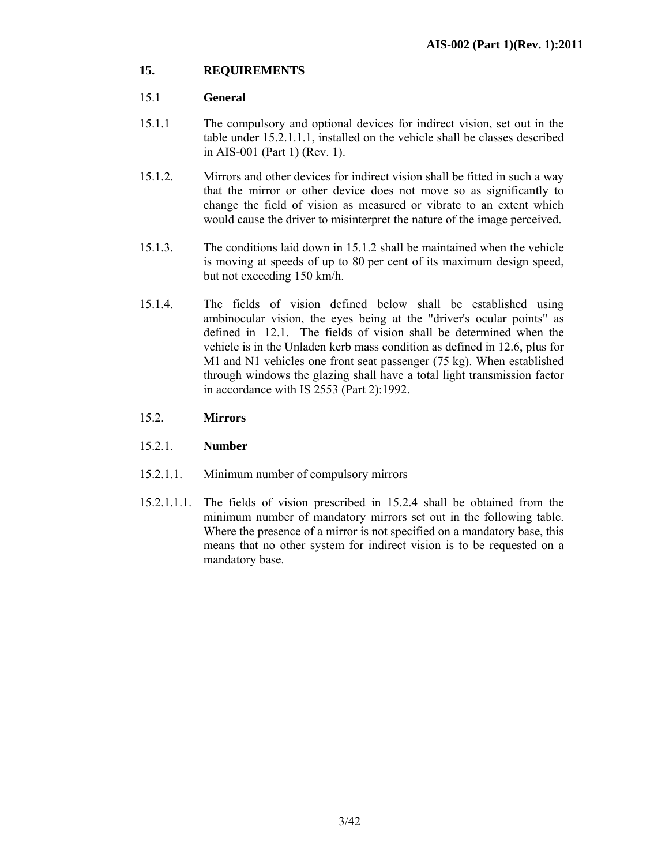### **15. REQUIREMENTS**

### 15.1 **General**

- 15.1.1 The compulsory and optional devices for indirect vision, set out in the table under 15.2.1.1.1, installed on the vehicle shall be classes described in AIS-001 (Part 1) (Rev. 1).
- 15.1.2. Mirrors and other devices for indirect vision shall be fitted in such a way that the mirror or other device does not move so as significantly to change the field of vision as measured or vibrate to an extent which would cause the driver to misinterpret the nature of the image perceived.
- 15.1.3. The conditions laid down in 15.1.2 shall be maintained when the vehicle is moving at speeds of up to 80 per cent of its maximum design speed, but not exceeding 150 km/h.
- 15.1.4. The fields of vision defined below shall be established using ambinocular vision, the eyes being at the "driver's ocular points" as defined in 12.1. The fields of vision shall be determined when the vehicle is in the Unladen kerb mass condition as defined in 12.6, plus for M1 and N1 vehicles one front seat passenger (75 kg). When established through windows the glazing shall have a total light transmission factor in accordance with IS 2553 (Part 2):1992.

### 15.2. **Mirrors**

### 15.2.1. **Number**

- 15.2.1.1. Minimum number of compulsory mirrors
- 15.2.1.1.1. The fields of vision prescribed in 15.2.4 shall be obtained from the minimum number of mandatory mirrors set out in the following table. Where the presence of a mirror is not specified on a mandatory base, this means that no other system for indirect vision is to be requested on a mandatory base.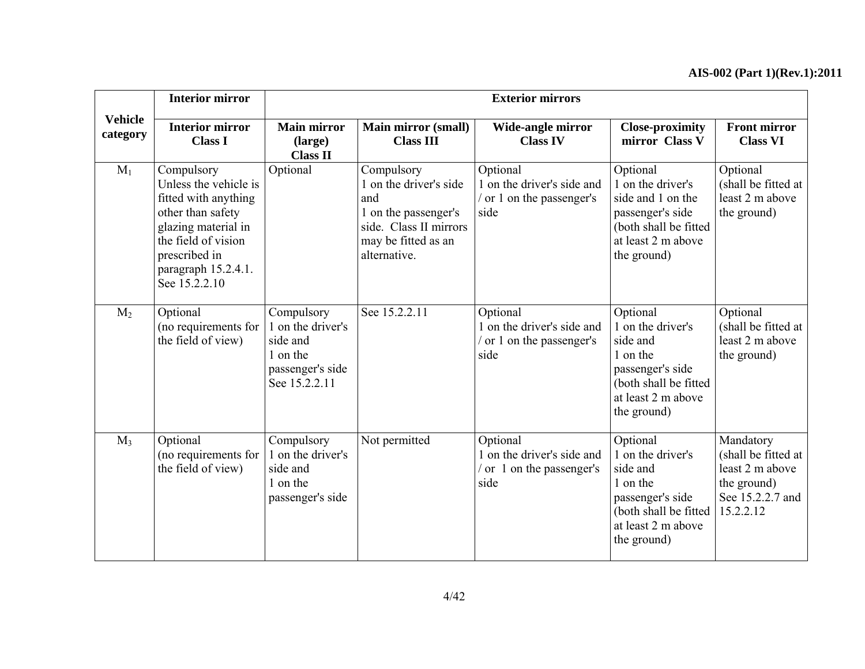|                            | <b>Interior mirror</b>                                                                                                                                                                  |                                                                                              |                                                                                                                                      | <b>Exterior mirrors</b>                                                                 |                                                                                                                                         |                                                                                                     |
|----------------------------|-----------------------------------------------------------------------------------------------------------------------------------------------------------------------------------------|----------------------------------------------------------------------------------------------|--------------------------------------------------------------------------------------------------------------------------------------|-----------------------------------------------------------------------------------------|-----------------------------------------------------------------------------------------------------------------------------------------|-----------------------------------------------------------------------------------------------------|
| <b>Vehicle</b><br>category | <b>Interior mirror</b><br><b>Class I</b>                                                                                                                                                | <b>Main mirror</b><br>(large)<br><b>Class II</b>                                             | <b>Main mirror (small)</b><br><b>Class III</b>                                                                                       | Wide-angle mirror<br><b>Class IV</b>                                                    | <b>Close-proximity</b><br>mirror Class V                                                                                                | <b>Front mirror</b><br><b>Class VI</b>                                                              |
| $M_1$                      | Compulsory<br>Unless the vehicle is<br>fitted with anything<br>other than safety<br>glazing material in<br>the field of vision<br>prescribed in<br>paragraph 15.2.4.1.<br>See 15.2.2.10 | Optional                                                                                     | Compulsory<br>1 on the driver's side<br>and<br>1 on the passenger's<br>side. Class II mirrors<br>may be fitted as an<br>alternative. | Optional<br>1 on the driver's side and<br>/ or 1 on the passenger's<br>side             | Optional<br>1 on the driver's<br>side and 1 on the<br>passenger's side<br>(both shall be fitted<br>at least 2 m above<br>the ground)    | Optional<br>(shall be fitted at<br>least 2 m above<br>the ground)                                   |
| $M_2$                      | Optional<br>(no requirements for<br>the field of view)                                                                                                                                  | Compulsory<br>1 on the driver's<br>side and<br>1 on the<br>passenger's side<br>See 15.2.2.11 | See 15.2.2.11                                                                                                                        | Optional<br>1 on the driver's side and<br>or 1 on the passenger's<br>side               | Optional<br>1 on the driver's<br>side and<br>1 on the<br>passenger's side<br>(both shall be fitted<br>at least 2 m above<br>the ground) | Optional<br>(shall be fitted at<br>least 2 m above<br>the ground)                                   |
| $M_3$                      | Optional<br>(no requirements for<br>the field of view)                                                                                                                                  | Compulsory<br>1 on the driver's<br>side and<br>1 on the<br>passenger's side                  | Not permitted                                                                                                                        | Optional<br>1 on the driver's side and<br>$\frac{1}{2}$ or 1 on the passenger's<br>side | Optional<br>1 on the driver's<br>side and<br>1 on the<br>passenger's side<br>(both shall be fitted<br>at least 2 m above<br>the ground) | Mandatory<br>(shall be fitted at<br>least 2 m above<br>the ground)<br>See 15.2.2.7 and<br>15.2.2.12 |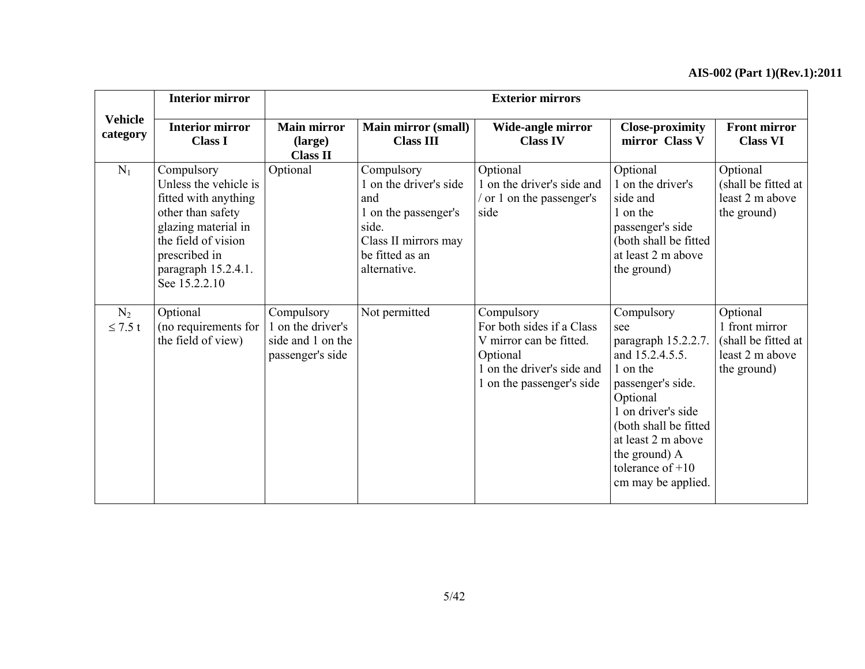|                            | <b>Interior mirror</b>                                                                                                                                                                  |                                                                          |                                                                                                                                         | <b>Exterior mirrors</b>                                                                                                                   |                                                                                                                                                                                                                                            |                                                                                     |
|----------------------------|-----------------------------------------------------------------------------------------------------------------------------------------------------------------------------------------|--------------------------------------------------------------------------|-----------------------------------------------------------------------------------------------------------------------------------------|-------------------------------------------------------------------------------------------------------------------------------------------|--------------------------------------------------------------------------------------------------------------------------------------------------------------------------------------------------------------------------------------------|-------------------------------------------------------------------------------------|
| <b>Vehicle</b><br>category | <b>Interior mirror</b><br><b>Class I</b>                                                                                                                                                | <b>Main mirror</b><br>(large)<br><b>Class II</b>                         | <b>Main mirror (small)</b><br><b>Class III</b>                                                                                          | Wide-angle mirror<br><b>Class IV</b>                                                                                                      | <b>Close-proximity</b><br>mirror Class V                                                                                                                                                                                                   | <b>Front mirror</b><br><b>Class VI</b>                                              |
| $N_1$                      | Compulsory<br>Unless the vehicle is<br>fitted with anything<br>other than safety<br>glazing material in<br>the field of vision<br>prescribed in<br>paragraph 15.2.4.1.<br>See 15.2.2.10 | Optional                                                                 | Compulsory<br>1 on the driver's side<br>and<br>1 on the passenger's<br>side.<br>Class II mirrors may<br>be fitted as an<br>alternative. | Optional<br>1 on the driver's side and<br>or 1 on the passenger's<br>side                                                                 | Optional<br>1 on the driver's<br>side and<br>1 on the<br>passenger's side<br>(both shall be fitted<br>at least 2 m above<br>the ground)                                                                                                    | Optional<br>(shall be fitted at<br>least 2 m above<br>the ground)                   |
| $N_2$<br>$\leq 7.5$ t      | Optional<br>(no requirements for<br>the field of view)                                                                                                                                  | Compulsory<br>1 on the driver's<br>side and 1 on the<br>passenger's side | Not permitted                                                                                                                           | Compulsory<br>For both sides if a Class<br>V mirror can be fitted.<br>Optional<br>1 on the driver's side and<br>1 on the passenger's side | Compulsory<br>see<br>paragraph 15.2.2.7.<br>and 15.2.4.5.5.<br>1 on the<br>passenger's side.<br>Optional<br>1 on driver's side<br>(both shall be fitted<br>at least 2 m above<br>the ground) A<br>tolerance of $+10$<br>cm may be applied. | Optional<br>1 front mirror<br>(shall be fitted at<br>least 2 m above<br>the ground) |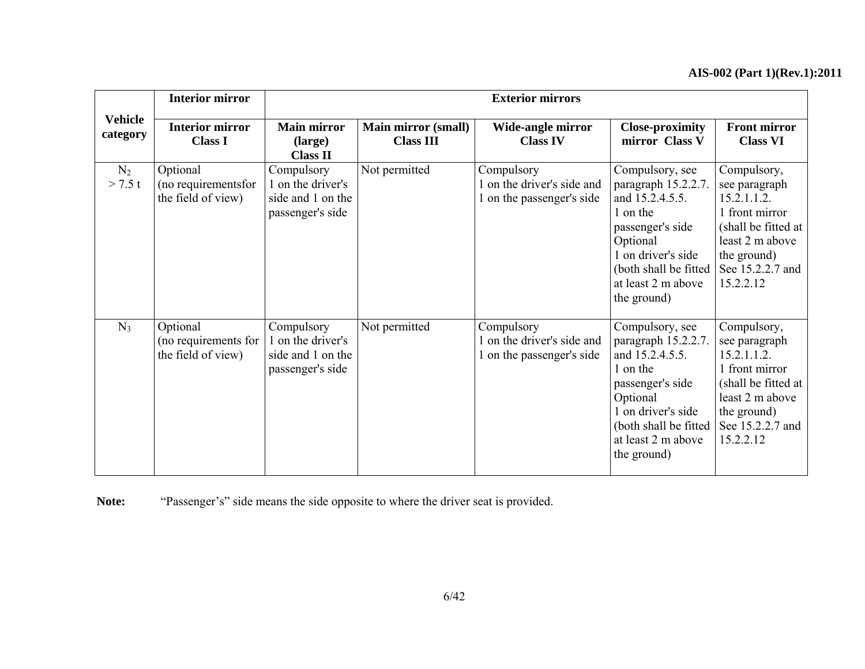|                            | <b>Interior mirror</b>                                 |                                                                          |                                                | <b>Exterior mirrors</b>                                               |                                                                                                                                                                                            |                                                                                                                                                         |
|----------------------------|--------------------------------------------------------|--------------------------------------------------------------------------|------------------------------------------------|-----------------------------------------------------------------------|--------------------------------------------------------------------------------------------------------------------------------------------------------------------------------------------|---------------------------------------------------------------------------------------------------------------------------------------------------------|
| <b>Vehicle</b><br>category | <b>Interior mirror</b><br><b>Class I</b>               | <b>Main mirror</b><br>(large)<br><b>Class II</b>                         | <b>Main mirror (small)</b><br><b>Class III</b> | Wide-angle mirror<br><b>Class IV</b>                                  | <b>Close-proximity</b><br>mirror Class V                                                                                                                                                   | <b>Front mirror</b><br><b>Class VI</b>                                                                                                                  |
| $N_2$<br>> 7.5 t           | Optional<br>(no requirements for<br>the field of view) | Compulsory<br>1 on the driver's<br>side and 1 on the<br>passenger's side | Not permitted                                  | Compulsory<br>1 on the driver's side and<br>1 on the passenger's side | Compulsory, see<br>paragraph 15.2.2.7.<br>and 15.2.4.5.5.<br>1 on the<br>passenger's side<br>Optional<br>1 on driver's side<br>(both shall be fitted)<br>at least 2 m above<br>the ground) | Compulsory,<br>see paragraph<br>15.2.1.1.2.<br>1 front mirror<br>(shall be fitted at<br>least 2 m above<br>the ground)<br>See 15.2.2.7 and<br>15.2.2.12 |
| $N_3$                      | Optional<br>(no requirements for<br>the field of view) | Compulsory<br>1 on the driver's<br>side and 1 on the<br>passenger's side | Not permitted                                  | Compulsory<br>1 on the driver's side and<br>1 on the passenger's side | Compulsory, see<br>paragraph 15.2.2.7.<br>and 15.2.4.5.5.<br>1 on the<br>passenger's side<br>Optional<br>1 on driver's side<br>(both shall be fitted)<br>at least 2 m above<br>the ground) | Compulsory,<br>see paragraph<br>15.2.1.1.2.<br>1 front mirror<br>(shall be fitted at<br>least 2 m above<br>the ground)<br>See 15.2.2.7 and<br>15.2.2.12 |

**Note:** "Passenger's" side means the side opposite to where the driver seat is provided.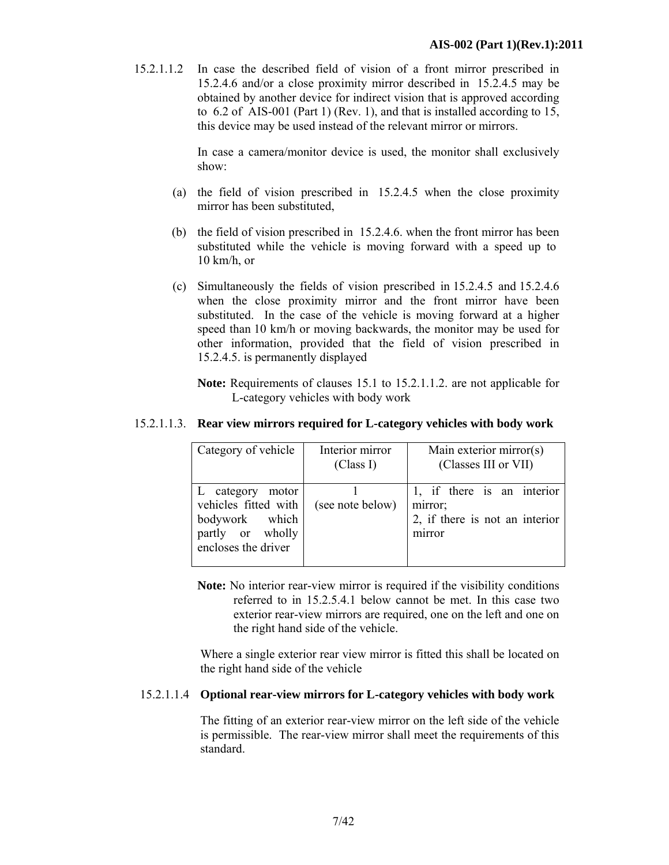15.2.1.1.2 In case the described field of vision of a front mirror prescribed in 15.2.4.6 and/or a close proximity mirror described in 15.2.4.5 may be obtained by another device for indirect vision that is approved according to 6.2 of AIS-001 (Part 1) (Rev. 1), and that is installed according to 15, this device may be used instead of the relevant mirror or mirrors.

> In case a camera/monitor device is used, the monitor shall exclusively show:

- (a) the field of vision prescribed in 15.2.4.5 when the close proximity mirror has been substituted,
- (b) the field of vision prescribed in 15.2.4.6. when the front mirror has been substituted while the vehicle is moving forward with a speed up to  $10 \text{ km/h}$ , or
- (c) Simultaneously the fields of vision prescribed in 15.2.4.5 and 15.2.4.6 when the close proximity mirror and the front mirror have been substituted. In the case of the vehicle is moving forward at a higher speed than 10 km/h or moving backwards, the monitor may be used for other information, provided that the field of vision prescribed in 15.2.4.5. is permanently displayed

**Note:** Requirements of clauses 15.1 to 15.2.1.1.2. are not applicable for L-category vehicles with body work

### 15.2.1.1.3. **Rear view mirrors required for L-category vehicles with body work**

| Category of vehicle  | Interior mirror  | Main exterior mirror(s)        |  |  |
|----------------------|------------------|--------------------------------|--|--|
|                      | (Class I)        | (Classes III or VII)           |  |  |
|                      |                  |                                |  |  |
| L category motor     |                  | 1, if there is an interior     |  |  |
| vehicles fitted with | (see note below) | mirror;                        |  |  |
| bodywork which       |                  | 2, if there is not an interior |  |  |
| partly or wholly     |                  | mirror                         |  |  |
| encloses the driver  |                  |                                |  |  |
|                      |                  |                                |  |  |

**Note:** No interior rear-view mirror is required if the visibility conditions referred to in 15.2.5.4.1 below cannot be met. In this case two exterior rear-view mirrors are required, one on the left and one on the right hand side of the vehicle.

 Where a single exterior rear view mirror is fitted this shall be located on the right hand side of the vehicle

### 15.2.1.1.4 **Optional rear-view mirrors for L-category vehicles with body work**

 The fitting of an exterior rear-view mirror on the left side of the vehicle is permissible. The rear-view mirror shall meet the requirements of this standard.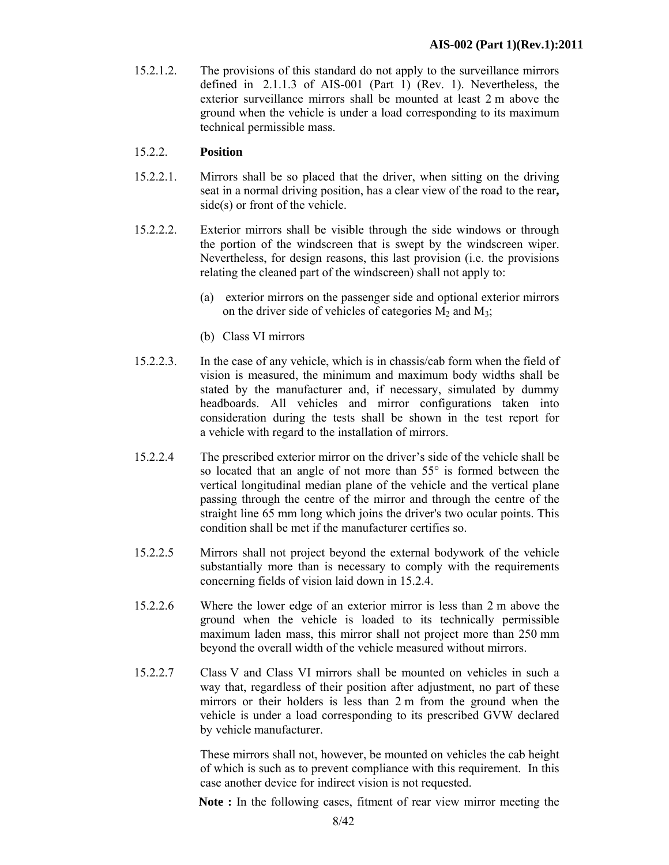15.2.1.2. The provisions of this standard do not apply to the surveillance mirrors defined in 2.1.1.3 of AIS-001 (Part 1) (Rev. 1). Nevertheless, the exterior surveillance mirrors shall be mounted at least 2 m above the ground when the vehicle is under a load corresponding to its maximum technical permissible mass.

### 15.2.2. **Position**

- 15.2.2.1. Mirrors shall be so placed that the driver, when sitting on the driving seat in a normal driving position, has a clear view of the road to the rear**,** side(s) or front of the vehicle.
- 15.2.2.2. Exterior mirrors shall be visible through the side windows or through the portion of the windscreen that is swept by the windscreen wiper. Nevertheless, for design reasons, this last provision (i.e. the provisions relating the cleaned part of the windscreen) shall not apply to:
	- (a) exterior mirrors on the passenger side and optional exterior mirrors on the driver side of vehicles of categories  $M_2$  and  $M_3$ ;
	- (b) Class VI mirrors
- 15.2.2.3. In the case of any vehicle, which is in chassis/cab form when the field of vision is measured, the minimum and maximum body widths shall be stated by the manufacturer and, if necessary, simulated by dummy headboards. All vehicles and mirror configurations taken into consideration during the tests shall be shown in the test report for a vehicle with regard to the installation of mirrors.
- 15.2.2.4 The prescribed exterior mirror on the driver's side of the vehicle shall be so located that an angle of not more than 55° is formed between the vertical longitudinal median plane of the vehicle and the vertical plane passing through the centre of the mirror and through the centre of the straight line 65 mm long which joins the driver's two ocular points. This condition shall be met if the manufacturer certifies so.
- 15.2.2.5 Mirrors shall not project beyond the external bodywork of the vehicle substantially more than is necessary to comply with the requirements concerning fields of vision laid down in 15.2.4.
- 15.2.2.6 Where the lower edge of an exterior mirror is less than 2 m above the ground when the vehicle is loaded to its technically permissible maximum laden mass, this mirror shall not project more than 250 mm beyond the overall width of the vehicle measured without mirrors.
- 15.2.2.7 Class V and Class VI mirrors shall be mounted on vehicles in such a way that, regardless of their position after adjustment, no part of these mirrors or their holders is less than 2 m from the ground when the vehicle is under a load corresponding to its prescribed GVW declared by vehicle manufacturer.

These mirrors shall not, however, be mounted on vehicles the cab height of which is such as to prevent compliance with this requirement. In this case another device for indirect vision is not requested.

**Note :** In the following cases, fitment of rear view mirror meeting the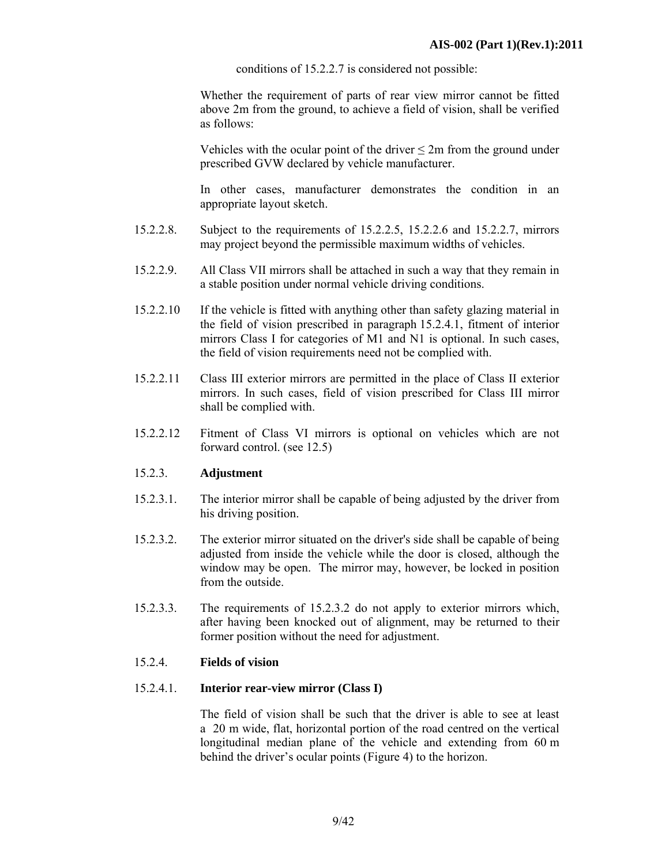conditions of 15.2.2.7 is considered not possible:

Whether the requirement of parts of rear view mirror cannot be fitted above 2m from the ground, to achieve a field of vision, shall be verified as follows:

Vehicles with the ocular point of the driver  $\leq 2m$  from the ground under prescribed GVW declared by vehicle manufacturer.

In other cases, manufacturer demonstrates the condition in an appropriate layout sketch.

- 15.2.2.8. Subject to the requirements of 15.2.2.5, 15.2.2.6 and 15.2.2.7, mirrors may project beyond the permissible maximum widths of vehicles.
- 15.2.2.9. All Class VII mirrors shall be attached in such a way that they remain in a stable position under normal vehicle driving conditions.
- 15.2.2.10 If the vehicle is fitted with anything other than safety glazing material in the field of vision prescribed in paragraph 15.2.4.1, fitment of interior mirrors Class I for categories of M1 and N1 is optional. In such cases, the field of vision requirements need not be complied with.
- 15.2.2.11 Class III exterior mirrors are permitted in the place of Class II exterior mirrors. In such cases, field of vision prescribed for Class III mirror shall be complied with.
- 15.2.2.12 Fitment of Class VI mirrors is optional on vehicles which are not forward control. (see 12.5)

### 15.2.3. **Adjustment**

- 15.2.3.1. The interior mirror shall be capable of being adjusted by the driver from his driving position.
- 15.2.3.2. The exterior mirror situated on the driver's side shall be capable of being adjusted from inside the vehicle while the door is closed, although the window may be open. The mirror may, however, be locked in position from the outside.
- 15.2.3.3. The requirements of 15.2.3.2 do not apply to exterior mirrors which, after having been knocked out of alignment, may be returned to their former position without the need for adjustment.

### 15.2.4. **Fields of vision**

### 15.2.4.1. **Interior rear-view mirror (Class I)**

 The field of vision shall be such that the driver is able to see at least a 20 m wide, flat, horizontal portion of the road centred on the vertical longitudinal median plane of the vehicle and extending from 60 m behind the driver's ocular points (Figure 4) to the horizon.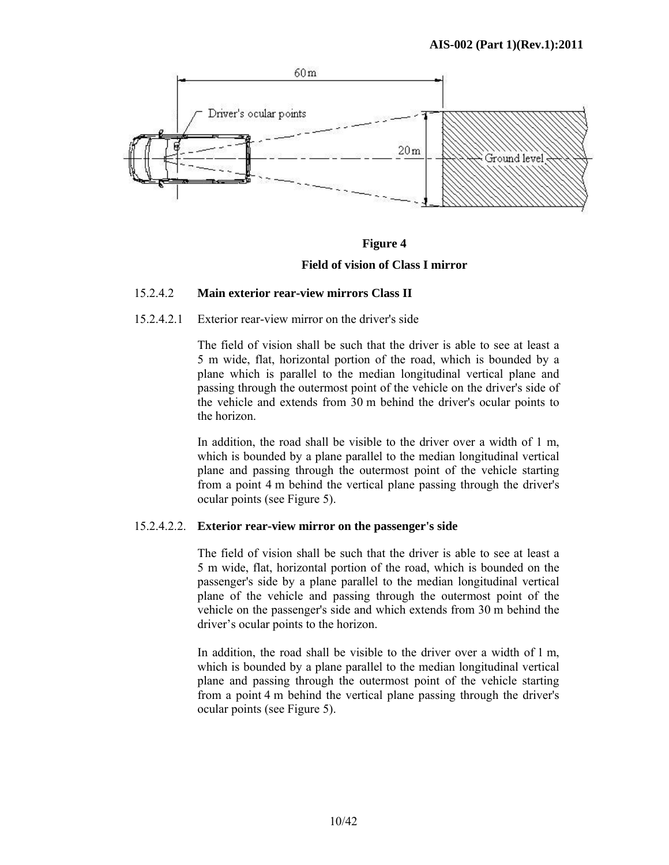



### 15.2.4.2 **Main exterior rear-view mirrors Class II**

### 15.2.4.2.1 Exterior rear-view mirror on the driver's side

 The field of vision shall be such that the driver is able to see at least a 5 m wide, flat, horizontal portion of the road, which is bounded by a plane which is parallel to the median longitudinal vertical plane and passing through the outermost point of the vehicle on the driver's side of the vehicle and extends from 30 m behind the driver's ocular points to the horizon.

In addition, the road shall be visible to the driver over a width of 1 m, which is bounded by a plane parallel to the median longitudinal vertical plane and passing through the outermost point of the vehicle starting from a point 4 m behind the vertical plane passing through the driver's ocular points (see Figure 5).

### 15.2.4.2.2. **Exterior rear-view mirror on the passenger's side**

 The field of vision shall be such that the driver is able to see at least a 5 m wide, flat, horizontal portion of the road, which is bounded on the passenger's side by a plane parallel to the median longitudinal vertical plane of the vehicle and passing through the outermost point of the vehicle on the passenger's side and which extends from 30 m behind the driver's ocular points to the horizon.

In addition, the road shall be visible to the driver over a width of 1 m, which is bounded by a plane parallel to the median longitudinal vertical plane and passing through the outermost point of the vehicle starting from a point 4 m behind the vertical plane passing through the driver's ocular points (see Figure 5).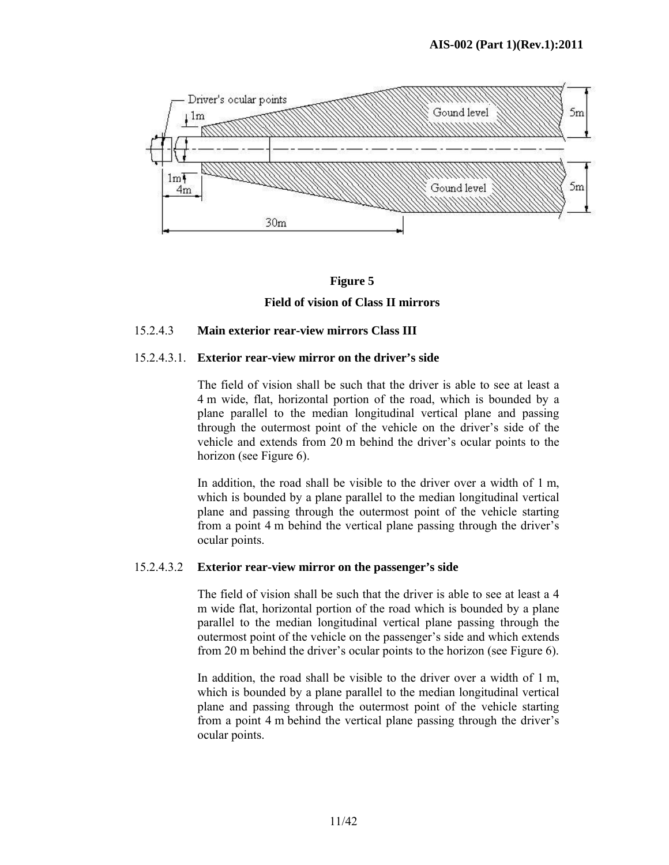

# **Figure 5 Field of vision of Class II mirrors**

### 15.2.4.3 **Main exterior rear-view mirrors Class III**

### 15.2.4.3.1. **Exterior rear-view mirror on the driver's side**

 The field of vision shall be such that the driver is able to see at least a 4 m wide, flat, horizontal portion of the road, which is bounded by a plane parallel to the median longitudinal vertical plane and passing through the outermost point of the vehicle on the driver's side of the vehicle and extends from 20 m behind the driver's ocular points to the horizon (see Figure 6).

In addition, the road shall be visible to the driver over a width of 1 m. which is bounded by a plane parallel to the median longitudinal vertical plane and passing through the outermost point of the vehicle starting from a point 4 m behind the vertical plane passing through the driver's ocular points.

### 15.2.4.3.2 **Exterior rear-view mirror on the passenger's side**

 The field of vision shall be such that the driver is able to see at least a 4 m wide flat, horizontal portion of the road which is bounded by a plane parallel to the median longitudinal vertical plane passing through the outermost point of the vehicle on the passenger's side and which extends from 20 m behind the driver's ocular points to the horizon (see Figure 6).

 In addition, the road shall be visible to the driver over a width of 1 m, which is bounded by a plane parallel to the median longitudinal vertical plane and passing through the outermost point of the vehicle starting from a point 4 m behind the vertical plane passing through the driver's ocular points.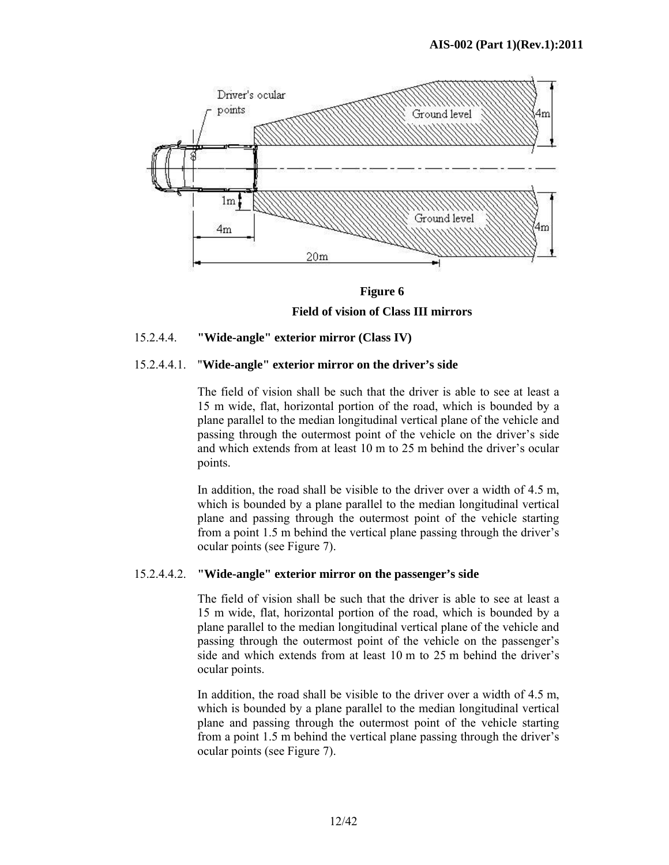

**Figure 6** 

**Field of vision of Class III mirrors** 

### 15.2.4.4. **"Wide-angle" exterior mirror (Class IV)**

### 15.2.4.4.1. "**Wide-angle" exterior mirror on the driver's side**

 The field of vision shall be such that the driver is able to see at least a 15 m wide, flat, horizontal portion of the road, which is bounded by a plane parallel to the median longitudinal vertical plane of the vehicle and passing through the outermost point of the vehicle on the driver's side and which extends from at least 10 m to 25 m behind the driver's ocular points.

 In addition, the road shall be visible to the driver over a width of 4.5 m, which is bounded by a plane parallel to the median longitudinal vertical plane and passing through the outermost point of the vehicle starting from a point 1.5 m behind the vertical plane passing through the driver's ocular points (see Figure 7).

### 15.2.4.4.2. **"Wide-angle" exterior mirror on the passenger's side**

 The field of vision shall be such that the driver is able to see at least a 15 m wide, flat, horizontal portion of the road, which is bounded by a plane parallel to the median longitudinal vertical plane of the vehicle and passing through the outermost point of the vehicle on the passenger's side and which extends from at least 10 m to 25 m behind the driver's ocular points.

In addition, the road shall be visible to the driver over a width of 4.5 m, which is bounded by a plane parallel to the median longitudinal vertical plane and passing through the outermost point of the vehicle starting from a point 1.5 m behind the vertical plane passing through the driver's ocular points (see Figure 7).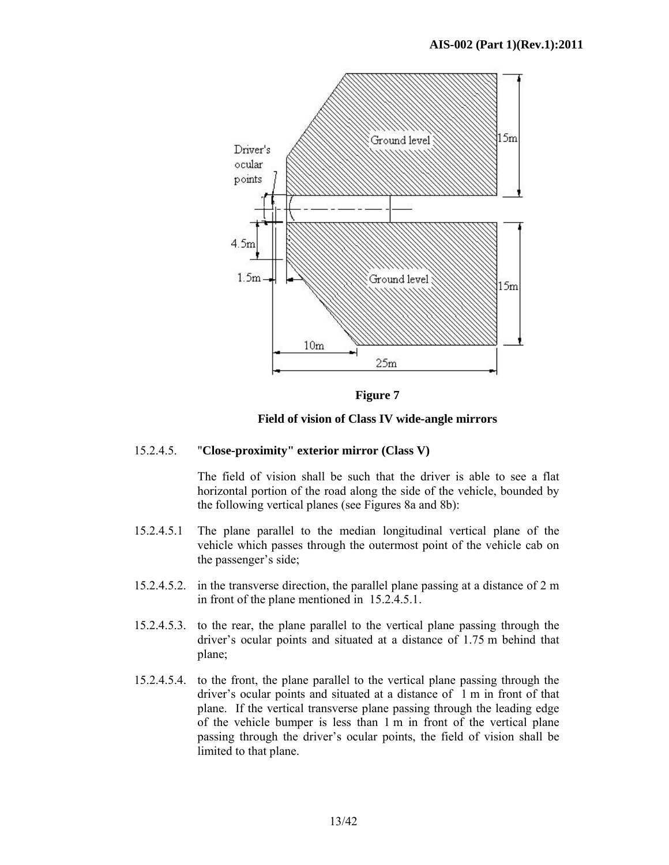

**Figure 7** 

**Field of vision of Class IV wide-angle mirrors** 

### 15.2.4.5. "**Close-proximity" exterior mirror (Class V)**

 The field of vision shall be such that the driver is able to see a flat horizontal portion of the road along the side of the vehicle, bounded by the following vertical planes (see Figures 8a and 8b):

- 15.2.4.5.1 The plane parallel to the median longitudinal vertical plane of the vehicle which passes through the outermost point of the vehicle cab on the passenger's side;
- 15.2.4.5.2. in the transverse direction, the parallel plane passing at a distance of 2 m in front of the plane mentioned in 15.2.4.5.1.
- 15.2.4.5.3. to the rear, the plane parallel to the vertical plane passing through the driver's ocular points and situated at a distance of 1.75 m behind that plane;
- 15.2.4.5.4. to the front, the plane parallel to the vertical plane passing through the driver's ocular points and situated at a distance of 1 m in front of that plane. If the vertical transverse plane passing through the leading edge of the vehicle bumper is less than 1 m in front of the vertical plane passing through the driver's ocular points, the field of vision shall be limited to that plane.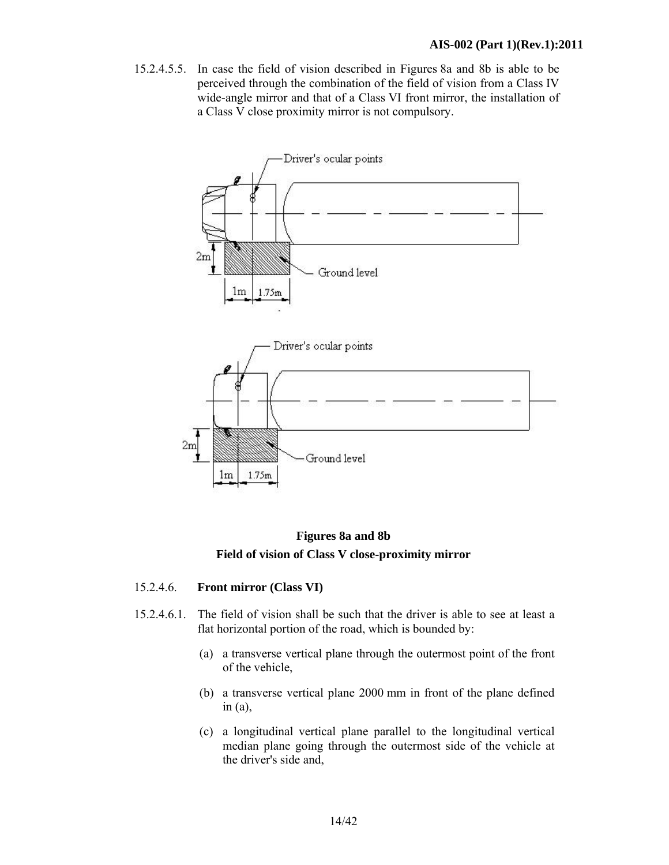15.2.4.5.5. In case the field of vision described in Figures 8a and 8b is able to be perceived through the combination of the field of vision from a Class IV wide-angle mirror and that of a Class VI front mirror, the installation of a Class V close proximity mirror is not compulsory.



**Figures 8a and 8b Field of vision of Class V close-proximity mirror** 

### 15.2.4.6. **Front mirror (Class VI)**

- 15.2.4.6.1. The field of vision shall be such that the driver is able to see at least a flat horizontal portion of the road, which is bounded by:
	- (a) a transverse vertical plane through the outermost point of the front of the vehicle,
	- (b) a transverse vertical plane 2000 mm in front of the plane defined in  $(a)$ ,
	- (c) a longitudinal vertical plane parallel to the longitudinal vertical median plane going through the outermost side of the vehicle at the driver's side and,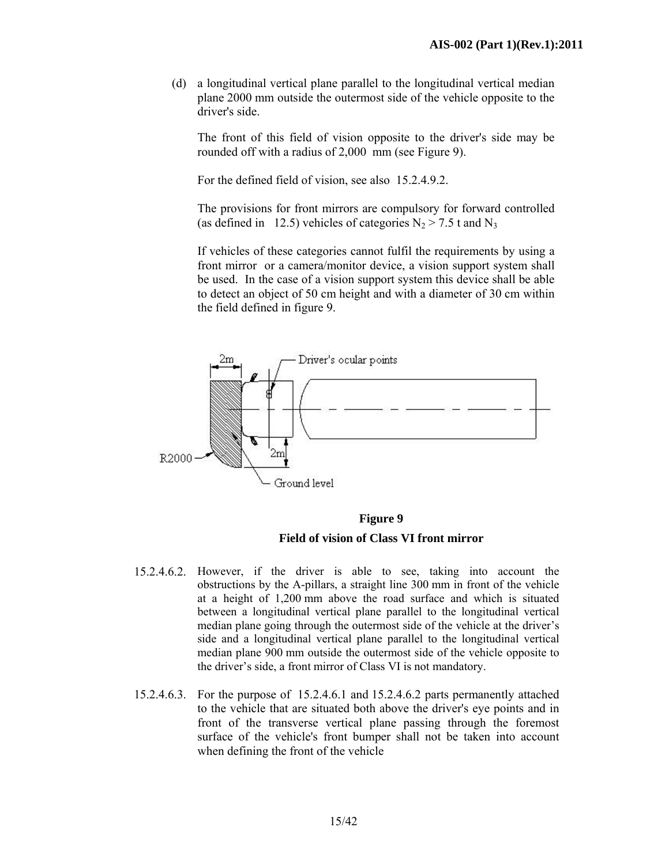(d) a longitudinal vertical plane parallel to the longitudinal vertical median plane 2000 mm outside the outermost side of the vehicle opposite to the driver's side.

 The front of this field of vision opposite to the driver's side may be rounded off with a radius of 2,000 mm (see Figure 9).

For the defined field of vision, see also 15.2.4.9.2.

 The provisions for front mirrors are compulsory for forward controlled (as defined in 12.5) vehicles of categories  $N_2 > 7.5$  t and  $N_3$ 

 If vehicles of these categories cannot fulfil the requirements by using a front mirror or a camera/monitor device, a vision support system shall be used. In the case of a vision support system this device shall be able to detect an object of 50 cm height and with a diameter of 30 cm within the field defined in figure 9.



 **Figure 9 Field of vision of Class VI front mirror** 

- 15.2.4.6.2. However, if the driver is able to see, taking into account the obstructions by the A-pillars, a straight line 300 mm in front of the vehicle at a height of 1,200 mm above the road surface and which is situated between a longitudinal vertical plane parallel to the longitudinal vertical median plane going through the outermost side of the vehicle at the driver's side and a longitudinal vertical plane parallel to the longitudinal vertical median plane 900 mm outside the outermost side of the vehicle opposite to the driver's side, a front mirror of Class VI is not mandatory.
- 15.2.4.6.3. For the purpose of 15.2.4.6.1 and 15.2.4.6.2 parts permanently attached to the vehicle that are situated both above the driver's eye points and in front of the transverse vertical plane passing through the foremost surface of the vehicle's front bumper shall not be taken into account when defining the front of the vehicle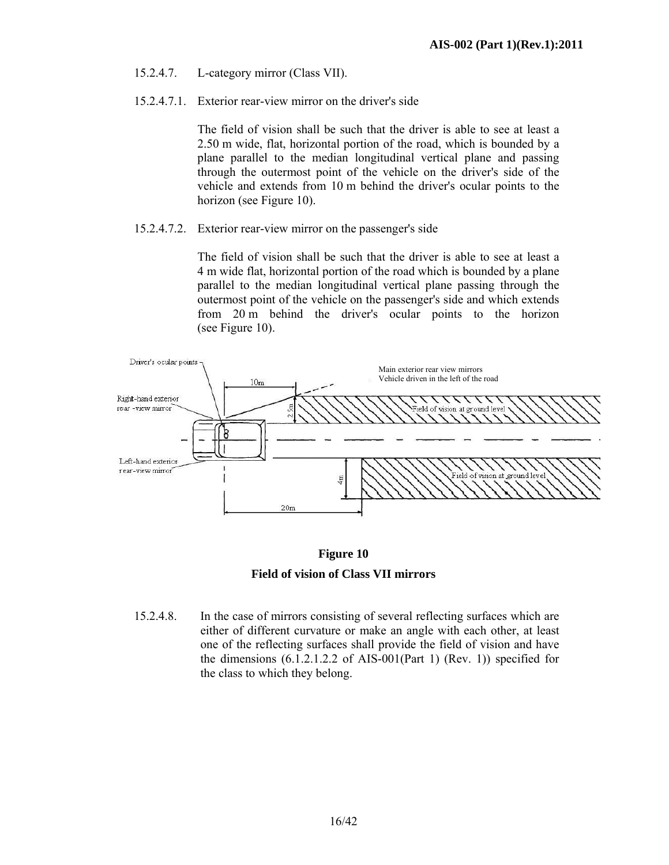- 15.2.4.7. L-category mirror (Class VII).
- 15.2.4.7.1. Exterior rear-view mirror on the driver's side

The field of vision shall be such that the driver is able to see at least a 2.50 m wide, flat, horizontal portion of the road, which is bounded by a plane parallel to the median longitudinal vertical plane and passing through the outermost point of the vehicle on the driver's side of the vehicle and extends from 10 m behind the driver's ocular points to the horizon (see Figure 10).

### 15.2.4.7.2. Exterior rear-view mirror on the passenger's side

The field of vision shall be such that the driver is able to see at least a 4 m wide flat, horizontal portion of the road which is bounded by a plane parallel to the median longitudinal vertical plane passing through the outermost point of the vehicle on the passenger's side and which extends from 20 m behind the driver's ocular points to the horizon (see Figure 10).





15.2.4.8. In the case of mirrors consisting of several reflecting surfaces which are either of different curvature or make an angle with each other, at least one of the reflecting surfaces shall provide the field of vision and have the dimensions  $(6.1.2.1.2.2 \text{ of AIS-001(Part 1) (Rev. 1))$  specified for the class to which they belong.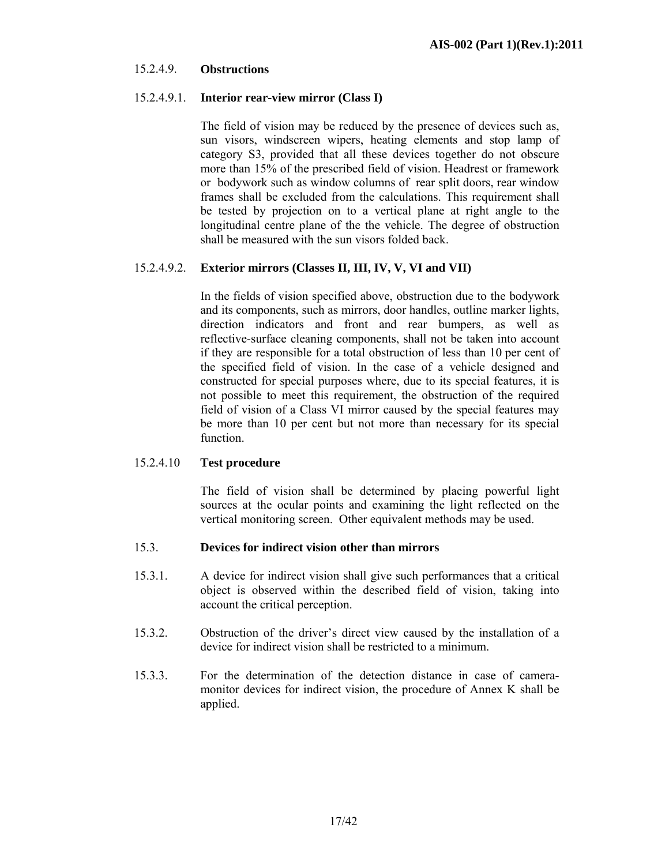### 15.2.4.9. **Obstructions**

### 15.2.4.9.1. **Interior rear-view mirror (Class I)**

 The field of vision may be reduced by the presence of devices such as, sun visors, windscreen wipers, heating elements and stop lamp of category S3, provided that all these devices together do not obscure more than 15% of the prescribed field of vision. Headrest or framework or bodywork such as window columns of rear split doors, rear window frames shall be excluded from the calculations. This requirement shall be tested by projection on to a vertical plane at right angle to the longitudinal centre plane of the the vehicle. The degree of obstruction shall be measured with the sun visors folded back.

### 15.2.4.9.2. **Exterior mirrors (Classes II, III, IV, V, VI and VII)**

 In the fields of vision specified above, obstruction due to the bodywork and its components, such as mirrors, door handles, outline marker lights, direction indicators and front and rear bumpers, as well as reflective-surface cleaning components, shall not be taken into account if they are responsible for a total obstruction of less than 10 per cent of the specified field of vision. In the case of a vehicle designed and constructed for special purposes where, due to its special features, it is not possible to meet this requirement, the obstruction of the required field of vision of a Class VI mirror caused by the special features may be more than 10 per cent but not more than necessary for its special function.

### 15.2.4.10 **Test procedure**

 The field of vision shall be determined by placing powerful light sources at the ocular points and examining the light reflected on the vertical monitoring screen. Other equivalent methods may be used.

### 15.3. **Devices for indirect vision other than mirrors**

- 15.3.1. A device for indirect vision shall give such performances that a critical object is observed within the described field of vision, taking into account the critical perception.
- 15.3.2. Obstruction of the driver's direct view caused by the installation of a device for indirect vision shall be restricted to a minimum.
- 15.3.3. For the determination of the detection distance in case of cameramonitor devices for indirect vision, the procedure of Annex K shall be applied.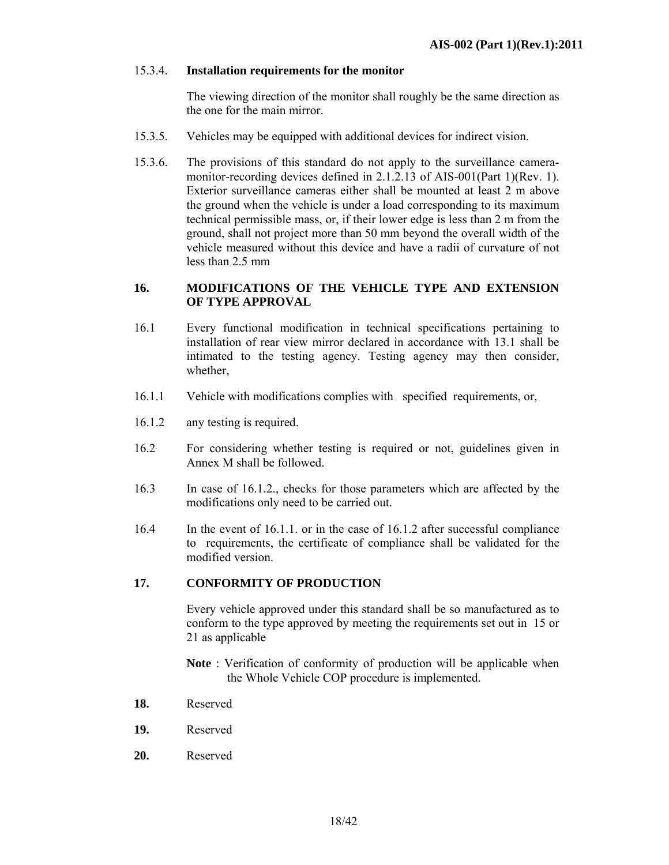### 15.3.4. **Installation requirements for the monitor**

 The viewing direction of the monitor shall roughly be the same direction as the one for the main mirror.

- 15.3.5. Vehicles may be equipped with additional devices for indirect vision.
- 15.3.6. The provisions of this standard do not apply to the surveillance cameramonitor-recording devices defined in 2.1.2.13 of AIS-001(Part 1)(Rev. 1). Exterior surveillance cameras either shall be mounted at least 2 m above the ground when the vehicle is under a load corresponding to its maximum technical permissible mass, or, if their lower edge is less than 2 m from the ground, shall not project more than 50 mm beyond the overall width of the vehicle measured without this device and have a radii of curvature of not less than 2.5 mm

### **16. MODIFICATIONS OF THE VEHICLE TYPE AND EXTENSION OF TYPE APPROVAL**

- 16.1 Every functional modification in technical specifications pertaining to installation of rear view mirror declared in accordance with 13.1 shall be intimated to the testing agency. Testing agency may then consider, whether,
- 16.1.1 Vehicle with modifications complies with specified requirements, or,
- 16.1.2 any testing is required.
- 16.2 For considering whether testing is required or not, guidelines given in Annex M shall be followed.
- 16.3 In case of 16.1.2., checks for those parameters which are affected by the modifications only need to be carried out.
- 16.4 In the event of 16.1.1. or in the case of 16.1.2 after successful compliance to requirements, the certificate of compliance shall be validated for the modified version.

### **17. CONFORMITY OF PRODUCTION**

Every vehicle approved under this standard shall be so manufactured as to conform to the type approved by meeting the requirements set out in 15 or 21 as applicable

**Note** : Verification of conformity of production will be applicable when the Whole Vehicle COP procedure is implemented.

- **18.** Reserved
- **19.** Reserved
- **20.** Reserved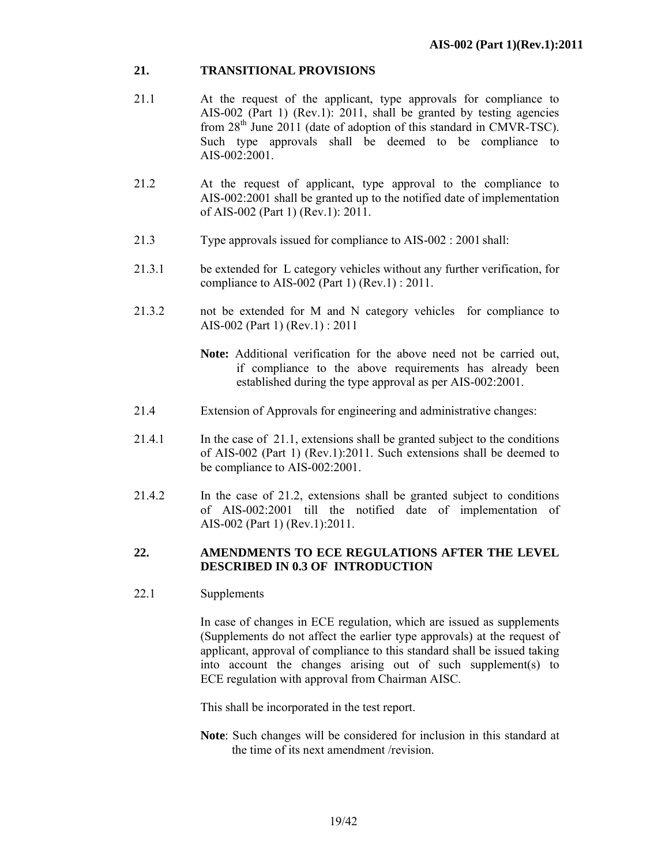### **21. TRANSITIONAL PROVISIONS**

- 21.1 At the request of the applicant, type approvals for compliance to AIS-002 (Part 1) (Rev.1): 2011, shall be granted by testing agencies from  $28<sup>th</sup>$  June  $2011$  (date of adoption of this standard in CMVR-TSC). Such type approvals shall be deemed to be compliance to AIS-002:2001.
- 21.2 At the request of applicant, type approval to the compliance to AIS-002:2001 shall be granted up to the notified date of implementation of AIS-002 (Part 1) (Rev.1): 2011.
- 21.3 Type approvals issued for compliance to AIS-002 : 2001 shall:
- 21.3.1 be extended for L category vehicles without any further verification, for compliance to AIS-002 (Part 1) (Rev.1) : 2011.
- 21.3.2 not be extended for M and N category vehicles for compliance to AIS-002 (Part 1) (Rev.1) : 2011
	- **Note:** Additional verification for the above need not be carried out, if compliance to the above requirements has already been established during the type approval as per AIS-002:2001.
- 21.4 Extension of Approvals for engineering and administrative changes:
- 21.4.1 In the case of 21.1, extensions shall be granted subject to the conditions of AIS-002 (Part 1) (Rev.1):2011. Such extensions shall be deemed to be compliance to AIS-002:2001.
- 21.4.2 In the case of 21.2, extensions shall be granted subject to conditions of AIS-002:2001 till the notified date of implementation of AIS-002 (Part 1) (Rev.1):2011.

### **22. AMENDMENTS TO ECE REGULATIONS AFTER THE LEVEL DESCRIBED IN 0.3 OF INTRODUCTION**

22.1 Supplements

 In case of changes in ECE regulation*,* which are issued as supplements (Supplements do not affect the earlier type approvals) at the request of applicant, approval of compliance to this standard shall be issued taking into account the changes arising out of such supplement(s) to ECE regulation with approval from Chairman AISC.

This shall be incorporated in the test report.

**Note**: Such changes will be considered for inclusion in this standard at the time of its next amendment /revision.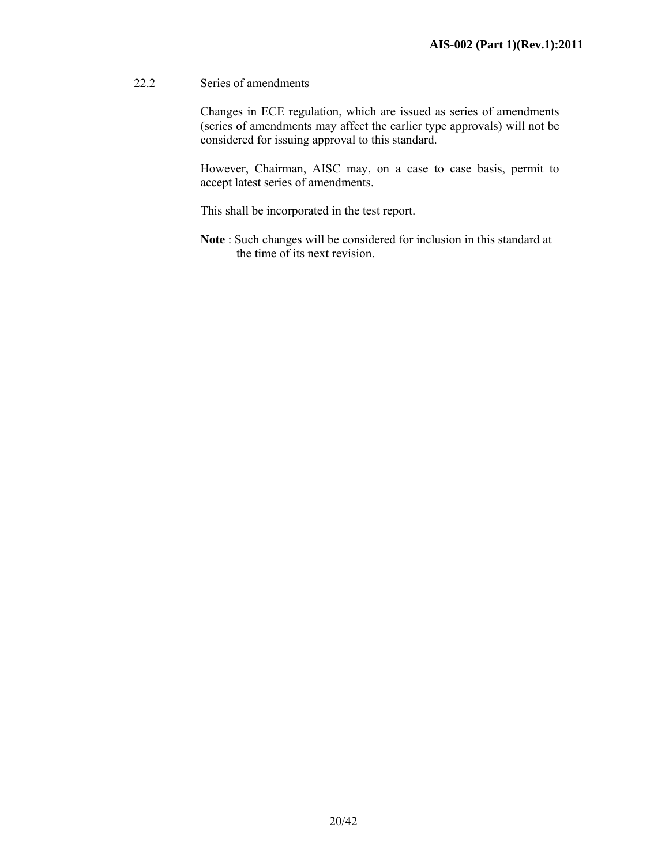### 22.2 Series of amendments

Changes in ECE regulation, which are issued as series of amendments (series of amendments may affect the earlier type approvals) will not be considered for issuing approval to this standard.

However, Chairman, AISC may, on a case to case basis, permit to accept latest series of amendments.

This shall be incorporated in the test report.

 **Note** : Such changes will be considered for inclusion in this standard at the time of its next revision.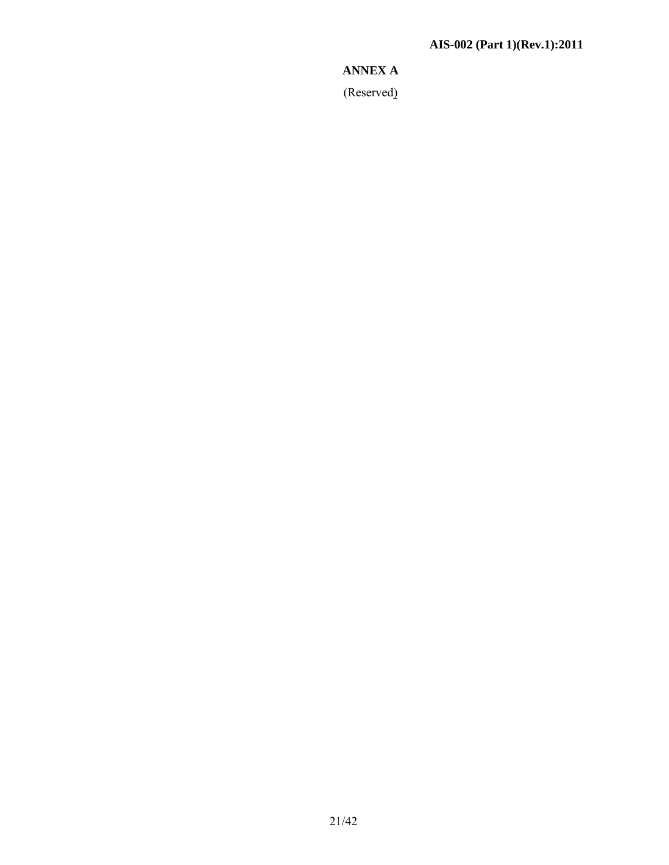# **ANNEX A**

(Reserved)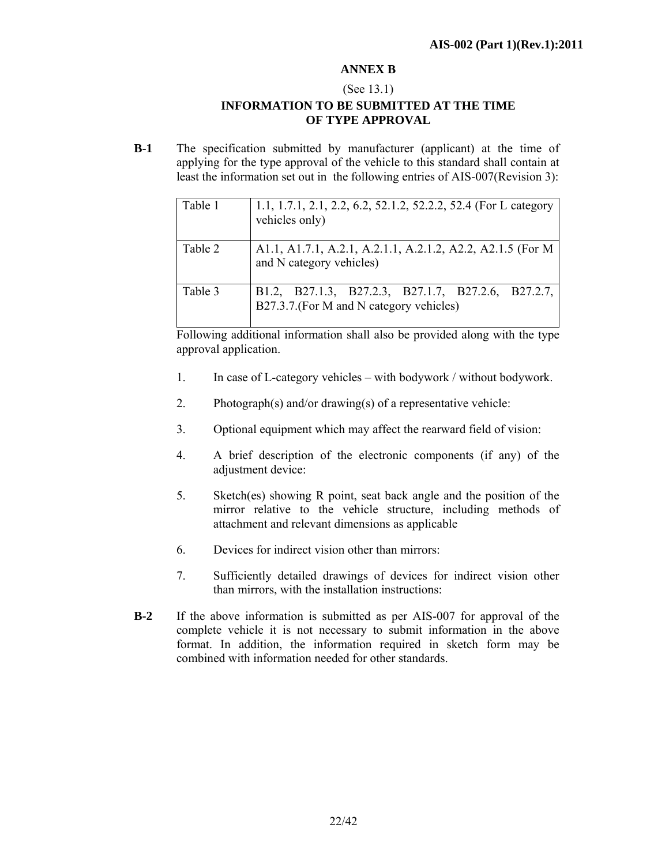### **ANNEX B**

### (See 13.1) **INFORMATION TO BE SUBMITTED AT THE TIME OF TYPE APPROVAL**

**B-1** The specification submitted by manufacturer (applicant) at the time of applying for the type approval of the vehicle to this standard shall contain at least the information set out in the following entries of AIS-007(Revision 3):

| Table 1 | 1.1, 1.7.1, 2.1, 2.2, 6.2, 52.1.2, 52.2.2, 52.4 (For L category<br>vehicles only)             |
|---------|-----------------------------------------------------------------------------------------------|
| Table 2 | A1.1, A1.7.1, A.2.1, A.2.1.1, A.2.1.2, A2.2, A2.1.5 (For M<br>and N category vehicles)        |
| Table 3 | B1.2, B27.1.3, B27.2.3, B27.1.7, B27.2.6, B27.2.7,<br>B27.3.7.(For M and N category vehicles) |

Following additional information shall also be provided along with the type approval application.

- 1. In case of L-category vehicles with bodywork / without bodywork.
- 2. Photograph(s) and/or drawing(s) of a representative vehicle:
- 3. Optional equipment which may affect the rearward field of vision:
- 4. A brief description of the electronic components (if any) of the adjustment device:
- 5. Sketch(es) showing R point, seat back angle and the position of the mirror relative to the vehicle structure, including methods of attachment and relevant dimensions as applicable
- 6. Devices for indirect vision other than mirrors:
- 7. Sufficiently detailed drawings of devices for indirect vision other than mirrors, with the installation instructions:
- **B-2** If the above information is submitted as per AIS-007 for approval of the complete vehicle it is not necessary to submit information in the above format. In addition, the information required in sketch form may be combined with information needed for other standards.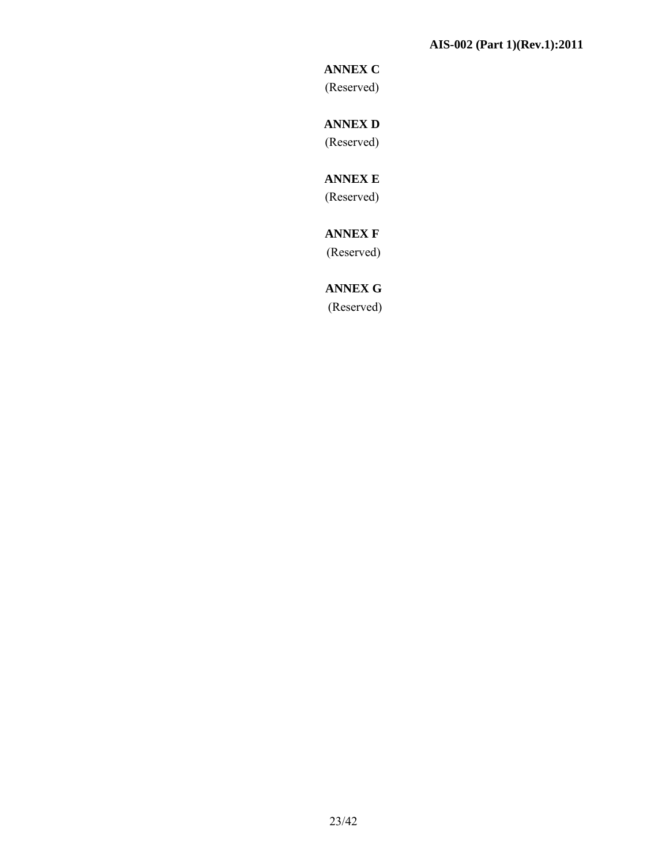# **ANNEX C**

(Reserved)

# **ANNEX D**  (Reserved)

# **ANNEX E**

(Reserved)

# **ANNEX F**

(Reserved)

# **ANNEX G**

(Reserved)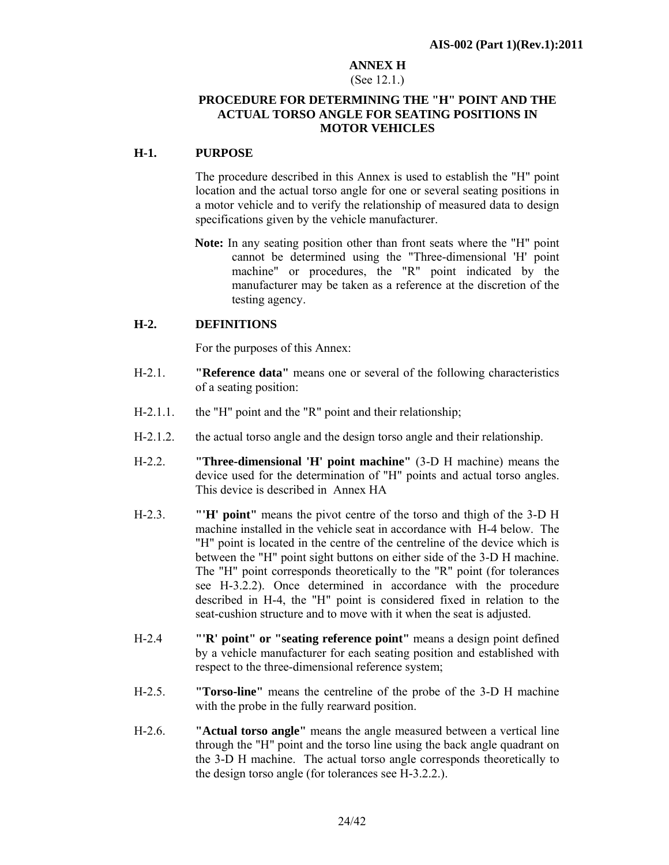### **ANNEX H**

### (See 12.1.)

### **PROCEDURE FOR DETERMINING THE "H" POINT AND THE ACTUAL TORSO ANGLE FOR SEATING POSITIONS IN MOTOR VEHICLES**

### **H-1. PURPOSE**

 The procedure described in this Annex is used to establish the "H" point location and the actual torso angle for one or several seating positions in a motor vehicle and to verify the relationship of measured data to design specifications given by the vehicle manufacturer.

**Note:** In any seating position other than front seats where the "H" point cannot be determined using the "Three-dimensional 'H' point machine" or procedures, the "R" point indicated by the manufacturer may be taken as a reference at the discretion of the testing agency.

### **H-2. DEFINITIONS**

For the purposes of this Annex:

- H-2.1. **"Reference data"** means one or several of the following characteristics of a seating position:
- H-2.1.1. the "H" point and the "R" point and their relationship;
- H-2.1.2. the actual torso angle and the design torso angle and their relationship.
- H-2.2. **"Three-dimensional 'H' point machine"** (3-D H machine) means the device used for the determination of "H" points and actual torso angles. This device is described in Annex HA
- H-2.3. **"'H' point"** means the pivot centre of the torso and thigh of the 3-D H machine installed in the vehicle seat in accordance with H-4 below. The "H" point is located in the centre of the centreline of the device which is between the "H" point sight buttons on either side of the 3-D H machine. The "H" point corresponds theoretically to the "R" point (for tolerances see H-3.2.2). Once determined in accordance with the procedure described in H-4, the "H" point is considered fixed in relation to the seat-cushion structure and to move with it when the seat is adjusted.
- H-2.4 **"'R' point" or "seating reference point"** means a design point defined by a vehicle manufacturer for each seating position and established with respect to the three-dimensional reference system;
- H-2.5. **"Torso-line"** means the centreline of the probe of the 3-D H machine with the probe in the fully rearward position.
- H-2.6. **"Actual torso angle"** means the angle measured between a vertical line through the "H" point and the torso line using the back angle quadrant on the 3-D H machine. The actual torso angle corresponds theoretically to the design torso angle (for tolerances see H-3.2.2.).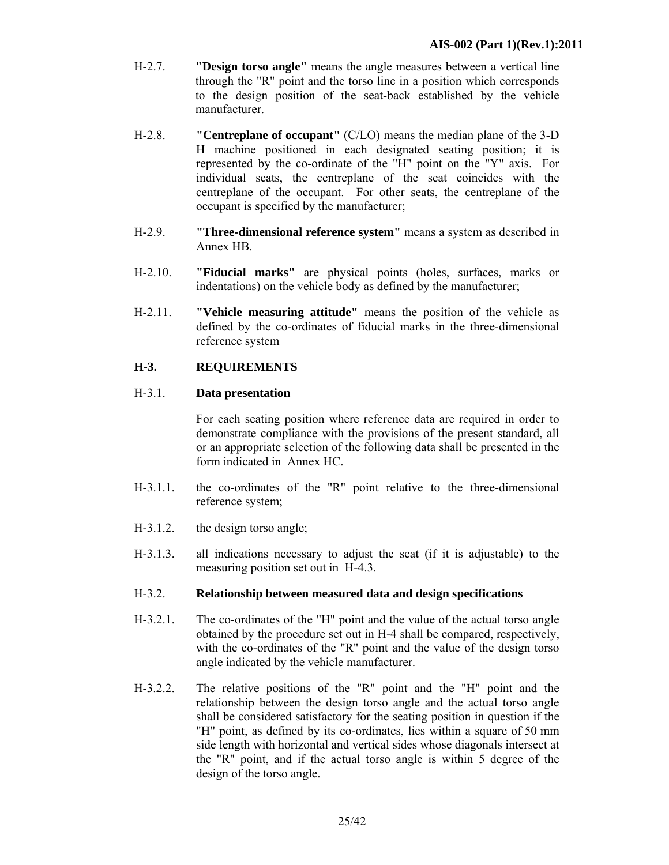- H-2.7. **"Design torso angle"** means the angle measures between a vertical line through the "R" point and the torso line in a position which corresponds to the design position of the seat-back established by the vehicle manufacturer.
- H-2.8. **"Centreplane of occupant"** (C/LO) means the median plane of the 3-D H machine positioned in each designated seating position; it is represented by the co-ordinate of the "H" point on the "Y" axis. For individual seats, the centreplane of the seat coincides with the centreplane of the occupant. For other seats, the centreplane of the occupant is specified by the manufacturer;
- H-2.9. **"Three-dimensional reference system"** means a system as described in Annex HB.
- H-2.10. **"Fiducial marks"** are physical points (holes, surfaces, marks or indentations) on the vehicle body as defined by the manufacturer;
- H-2.11. **"Vehicle measuring attitude"** means the position of the vehicle as defined by the co-ordinates of fiducial marks in the three-dimensional reference system

### **H-3. REQUIREMENTS**

### H-3.1. **Data presentation**

 For each seating position where reference data are required in order to demonstrate compliance with the provisions of the present standard, all or an appropriate selection of the following data shall be presented in the form indicated in Annex HC.

- H-3.1.1. the co-ordinates of the "R" point relative to the three-dimensional reference system;
- H-3.1.2. the design torso angle;
- H-3.1.3. all indications necessary to adjust the seat (if it is adjustable) to the measuring position set out in H-4.3.

### H-3.2. **Relationship between measured data and design specifications**

- H-3.2.1. The co-ordinates of the "H" point and the value of the actual torso angle obtained by the procedure set out in H-4 shall be compared, respectively, with the co-ordinates of the "R" point and the value of the design torso angle indicated by the vehicle manufacturer.
- H-3.2.2. The relative positions of the "R" point and the "H" point and the relationship between the design torso angle and the actual torso angle shall be considered satisfactory for the seating position in question if the "H" point, as defined by its co-ordinates, lies within a square of 50 mm side length with horizontal and vertical sides whose diagonals intersect at the "R" point, and if the actual torso angle is within 5 degree of the design of the torso angle.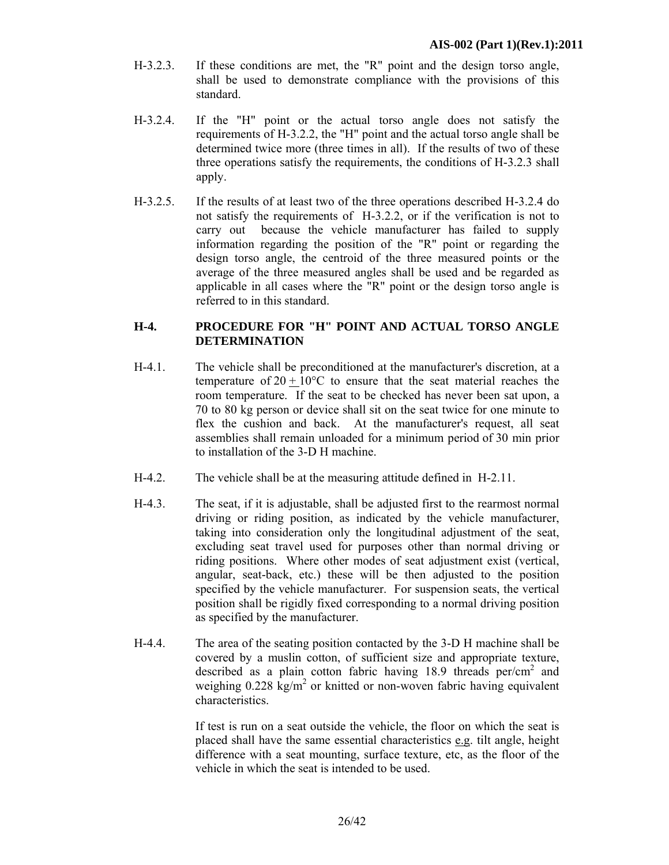- H-3.2.3. If these conditions are met, the "R" point and the design torso angle, shall be used to demonstrate compliance with the provisions of this standard.
- H-3.2.4. If the "H" point or the actual torso angle does not satisfy the requirements of H-3.2.2, the "H" point and the actual torso angle shall be determined twice more (three times in all). If the results of two of these three operations satisfy the requirements, the conditions of H-3.2.3 shall apply.
- H-3.2.5. If the results of at least two of the three operations described H-3.2.4 do not satisfy the requirements of H-3.2.2, or if the verification is not to carry out because the vehicle manufacturer has failed to supply information regarding the position of the "R" point or regarding the design torso angle, the centroid of the three measured points or the average of the three measured angles shall be used and be regarded as applicable in all cases where the "R" point or the design torso angle is referred to in this standard.

### **H-4. PROCEDURE FOR "H" POINT AND ACTUAL TORSO ANGLE DETERMINATION**

- H-4.1. The vehicle shall be preconditioned at the manufacturer's discretion, at a temperature of  $20 \pm 10^{\circ}$ C to ensure that the seat material reaches the room temperature. If the seat to be checked has never been sat upon, a 70 to 80 kg person or device shall sit on the seat twice for one minute to flex the cushion and back. At the manufacturer's request, all seat assemblies shall remain unloaded for a minimum period of 30 min prior to installation of the 3-D H machine.
- H-4.2. The vehicle shall be at the measuring attitude defined in H-2.11.
- H-4.3. The seat, if it is adjustable, shall be adjusted first to the rearmost normal driving or riding position, as indicated by the vehicle manufacturer, taking into consideration only the longitudinal adjustment of the seat, excluding seat travel used for purposes other than normal driving or riding positions. Where other modes of seat adjustment exist (vertical, angular, seat-back, etc.) these will be then adjusted to the position specified by the vehicle manufacturer. For suspension seats, the vertical position shall be rigidly fixed corresponding to a normal driving position as specified by the manufacturer.
- H-4.4. The area of the seating position contacted by the 3-D H machine shall be covered by a muslin cotton, of sufficient size and appropriate texture, described as a plain cotton fabric having 18.9 threads  $per/cm<sup>2</sup>$  and weighing  $0.228 \text{ kg/m}^2$  or knitted or non-woven fabric having equivalent characteristics.

 If test is run on a seat outside the vehicle, the floor on which the seat is placed shall have the same essential characteristics e.g. tilt angle, height difference with a seat mounting, surface texture, etc, as the floor of the vehicle in which the seat is intended to be used.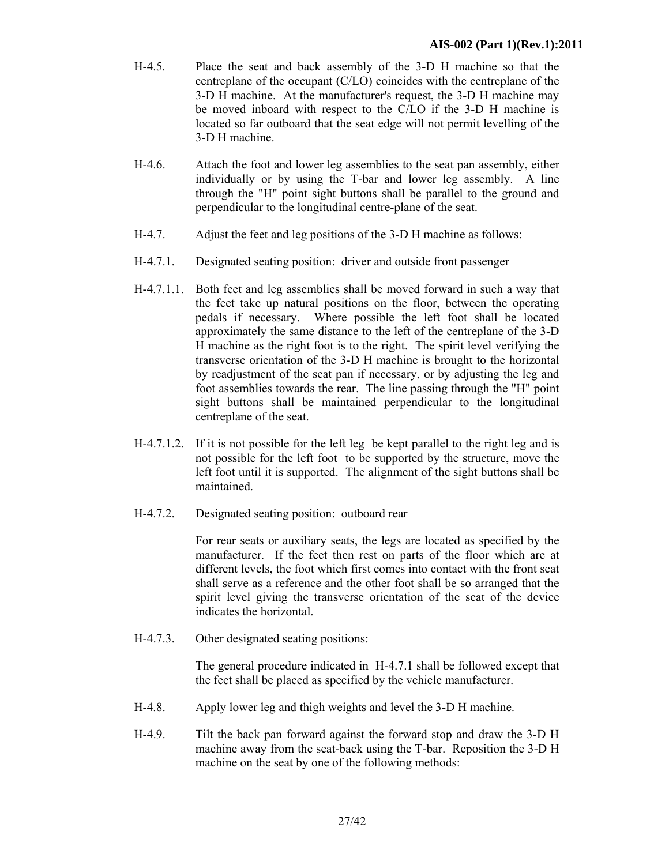- H-4.5. Place the seat and back assembly of the 3-D H machine so that the centreplane of the occupant (C/LO) coincides with the centreplane of the 3-D H machine. At the manufacturer's request, the 3-D H machine may be moved inboard with respect to the C/LO if the 3-D H machine is located so far outboard that the seat edge will not permit levelling of the 3-D H machine.
- H-4.6. Attach the foot and lower leg assemblies to the seat pan assembly, either individually or by using the T-bar and lower leg assembly. A line through the "H" point sight buttons shall be parallel to the ground and perpendicular to the longitudinal centre-plane of the seat.
- H-4.7. Adjust the feet and leg positions of the 3-D H machine as follows:
- H-4.7.1. Designated seating position: driver and outside front passenger
- H-4.7.1.1. Both feet and leg assemblies shall be moved forward in such a way that the feet take up natural positions on the floor, between the operating pedals if necessary. Where possible the left foot shall be located approximately the same distance to the left of the centreplane of the 3-D H machine as the right foot is to the right. The spirit level verifying the transverse orientation of the 3-D H machine is brought to the horizontal by readjustment of the seat pan if necessary, or by adjusting the leg and foot assemblies towards the rear. The line passing through the "H" point sight buttons shall be maintained perpendicular to the longitudinal centreplane of the seat.
- H-4.7.1.2. If it is not possible for the left leg be kept parallel to the right leg and is not possible for the left foot to be supported by the structure, move the left foot until it is supported. The alignment of the sight buttons shall be maintained.
- H-4.7.2. Designated seating position: outboard rear

 For rear seats or auxiliary seats, the legs are located as specified by the manufacturer. If the feet then rest on parts of the floor which are at different levels, the foot which first comes into contact with the front seat shall serve as a reference and the other foot shall be so arranged that the spirit level giving the transverse orientation of the seat of the device indicates the horizontal.

H-4.7.3. Other designated seating positions:

 The general procedure indicated in H-4.7.1 shall be followed except that the feet shall be placed as specified by the vehicle manufacturer.

- H-4.8. Apply lower leg and thigh weights and level the 3-D H machine.
- H-4.9. Tilt the back pan forward against the forward stop and draw the 3-D H machine away from the seat-back using the T-bar. Reposition the 3-D H machine on the seat by one of the following methods: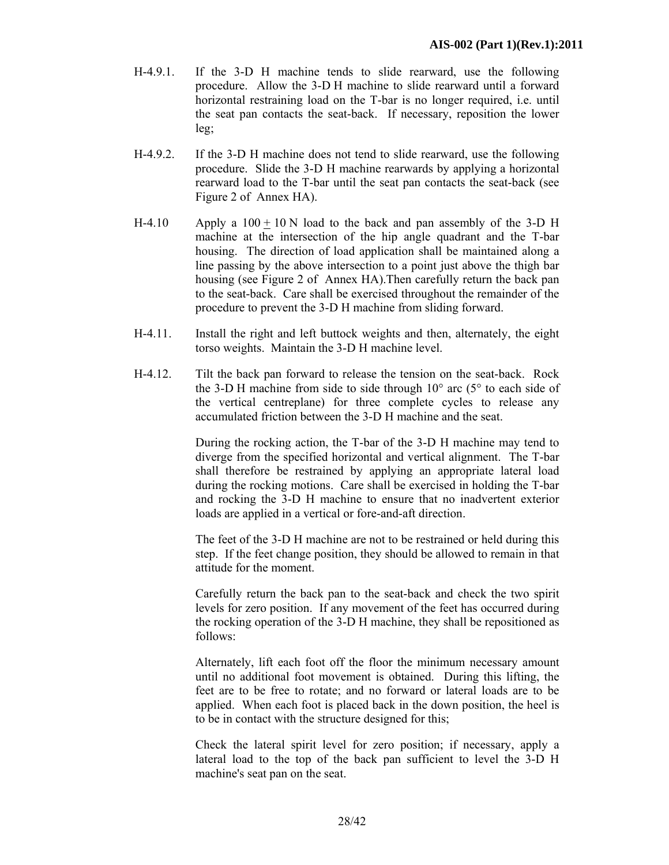- H-4.9.1. If the 3-D H machine tends to slide rearward, use the following procedure. Allow the 3-D H machine to slide rearward until a forward horizontal restraining load on the T-bar is no longer required, i.e. until the seat pan contacts the seat-back. If necessary, reposition the lower leg;
- H-4.9.2. If the 3-D H machine does not tend to slide rearward, use the following procedure. Slide the 3-D H machine rearwards by applying a horizontal rearward load to the T-bar until the seat pan contacts the seat-back (see Figure 2 of Annex HA).
- H-4.10 Apply a  $100 + 10$  N load to the back and pan assembly of the 3-D H machine at the intersection of the hip angle quadrant and the T-bar housing. The direction of load application shall be maintained along a line passing by the above intersection to a point just above the thigh bar housing (see Figure 2 of Annex HA).Then carefully return the back pan to the seat-back. Care shall be exercised throughout the remainder of the procedure to prevent the 3-D H machine from sliding forward.
- H-4.11. Install the right and left buttock weights and then, alternately, the eight torso weights. Maintain the 3-D H machine level.
- H-4.12. Tilt the back pan forward to release the tension on the seat-back. Rock the 3-D H machine from side to side through  $10^{\circ}$  arc (5 $^{\circ}$  to each side of the vertical centreplane) for three complete cycles to release any accumulated friction between the 3-D H machine and the seat.

 During the rocking action, the T-bar of the 3-D H machine may tend to diverge from the specified horizontal and vertical alignment. The T-bar shall therefore be restrained by applying an appropriate lateral load during the rocking motions. Care shall be exercised in holding the T-bar and rocking the 3-D H machine to ensure that no inadvertent exterior loads are applied in a vertical or fore-and-aft direction.

 The feet of the 3-D H machine are not to be restrained or held during this step. If the feet change position, they should be allowed to remain in that attitude for the moment.

 Carefully return the back pan to the seat-back and check the two spirit levels for zero position. If any movement of the feet has occurred during the rocking operation of the 3-D H machine, they shall be repositioned as follows:

 Alternately, lift each foot off the floor the minimum necessary amount until no additional foot movement is obtained. During this lifting, the feet are to be free to rotate; and no forward or lateral loads are to be applied. When each foot is placed back in the down position, the heel is to be in contact with the structure designed for this;

 Check the lateral spirit level for zero position; if necessary, apply a lateral load to the top of the back pan sufficient to level the 3-D H machine's seat pan on the seat.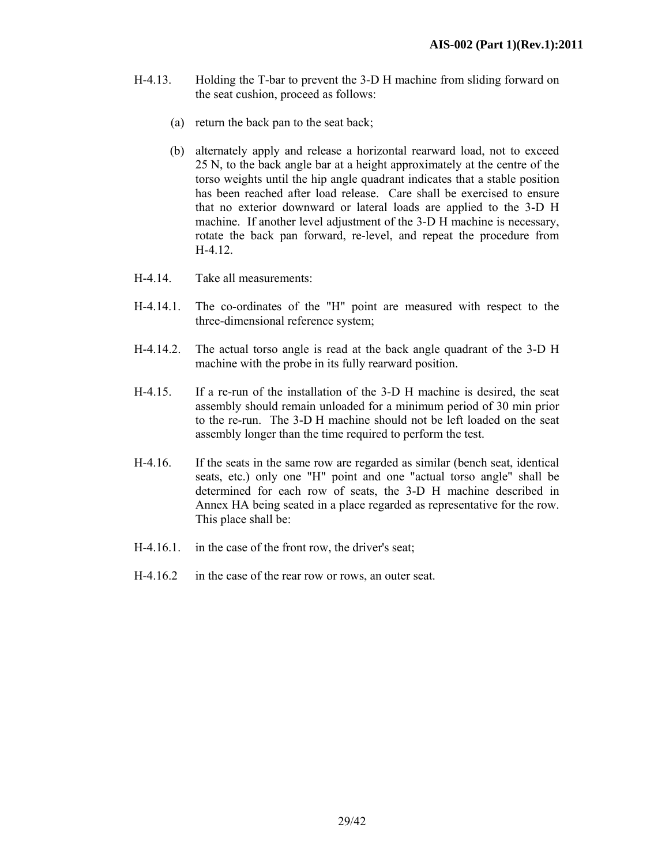- H-4.13. Holding the T-bar to prevent the 3-D H machine from sliding forward on the seat cushion, proceed as follows:
	- (a) return the back pan to the seat back;
	- (b) alternately apply and release a horizontal rearward load, not to exceed 25 N, to the back angle bar at a height approximately at the centre of the torso weights until the hip angle quadrant indicates that a stable position has been reached after load release. Care shall be exercised to ensure that no exterior downward or lateral loads are applied to the 3-D H machine. If another level adjustment of the 3-D H machine is necessary, rotate the back pan forward, re-level, and repeat the procedure from H-4.12.
- H-4.14. Take all measurements:
- H-4.14.1. The co-ordinates of the "H" point are measured with respect to the three-dimensional reference system;
- H-4.14.2. The actual torso angle is read at the back angle quadrant of the 3-D H machine with the probe in its fully rearward position.
- H-4.15. If a re-run of the installation of the 3-D H machine is desired, the seat assembly should remain unloaded for a minimum period of 30 min prior to the re-run. The 3-D H machine should not be left loaded on the seat assembly longer than the time required to perform the test.
- H-4.16. If the seats in the same row are regarded as similar (bench seat, identical seats, etc.) only one "H" point and one "actual torso angle" shall be determined for each row of seats, the 3-D H machine described in Annex HA being seated in a place regarded as representative for the row. This place shall be:
- H-4.16.1. in the case of the front row, the driver's seat;
- H-4.16.2 in the case of the rear row or rows, an outer seat.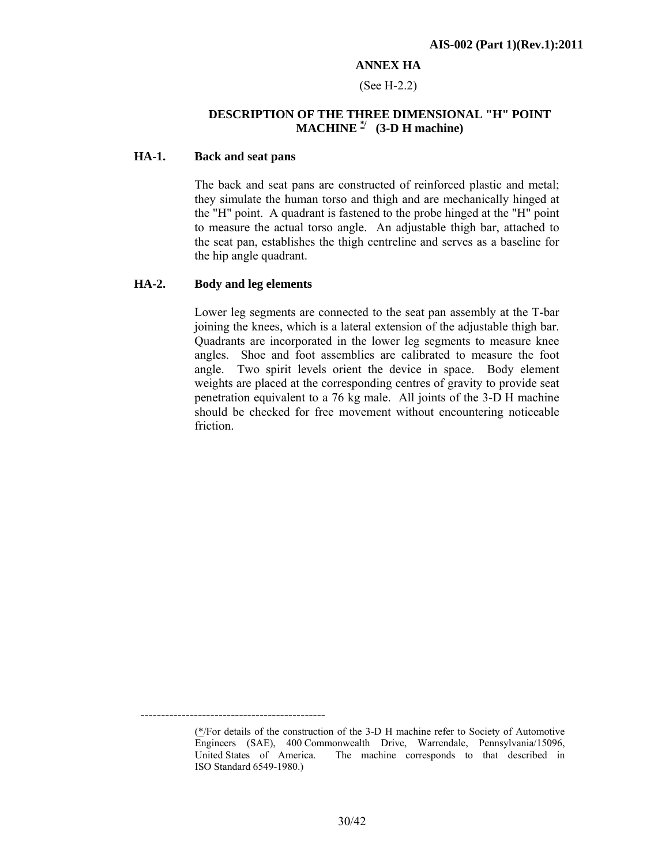### **ANNEX HA**

### (See H-2.2)

### **DESCRIPTION OF THE THREE DIMENSIONAL "H" POINT MACHINE**  $\frac{1}{2}$  (3-D H machine)

### **HA-1. Back and seat pans**

 The back and seat pans are constructed of reinforced plastic and metal; they simulate the human torso and thigh and are mechanically hinged at the "H" point. A quadrant is fastened to the probe hinged at the "H" point to measure the actual torso angle. An adjustable thigh bar, attached to the seat pan, establishes the thigh centreline and serves as a baseline for the hip angle quadrant.

### **HA-2. Body and leg elements**

---------------------------------------------

 Lower leg segments are connected to the seat pan assembly at the T-bar joining the knees, which is a lateral extension of the adjustable thigh bar. Quadrants are incorporated in the lower leg segments to measure knee angles. Shoe and foot assemblies are calibrated to measure the foot angle. Two spirit levels orient the device in space. Body element weights are placed at the corresponding centres of gravity to provide seat penetration equivalent to a 76 kg male. All joints of the 3-D H machine should be checked for free movement without encountering noticeable friction.

<sup>(\*/</sup>For details of the construction of the 3-D H machine refer to Society of Automotive Engineers (SAE), 400 Commonwealth Drive, Warrendale, Pennsylvania/15096, United States of America. The machine corresponds to that described in ISO Standard 6549-1980.)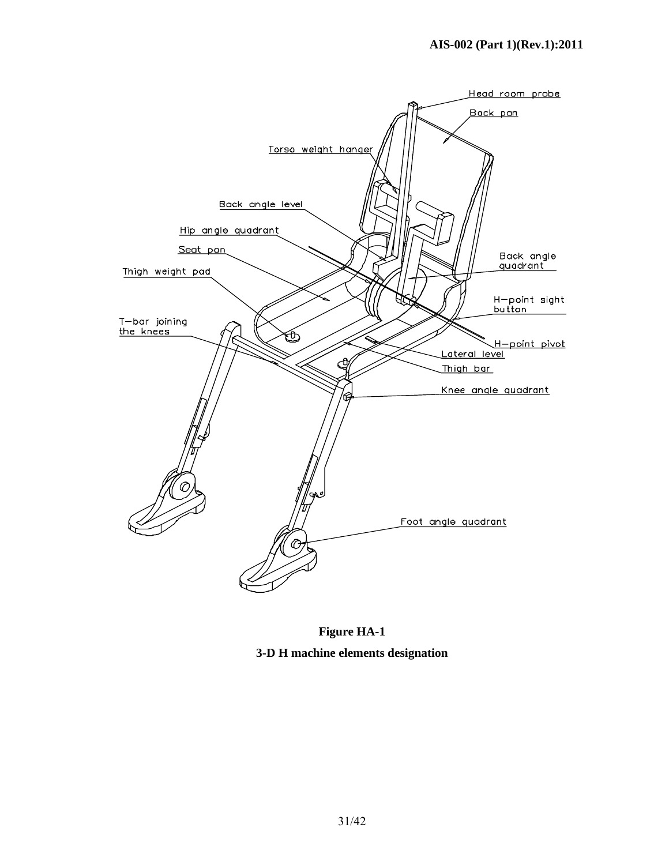

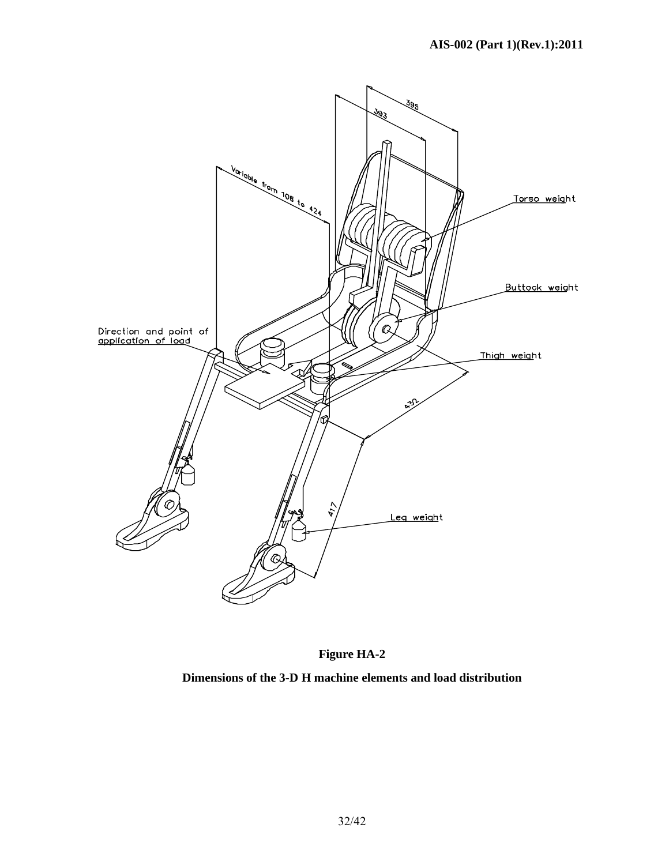



**Dimensions of the 3-D H machine elements and load distribution**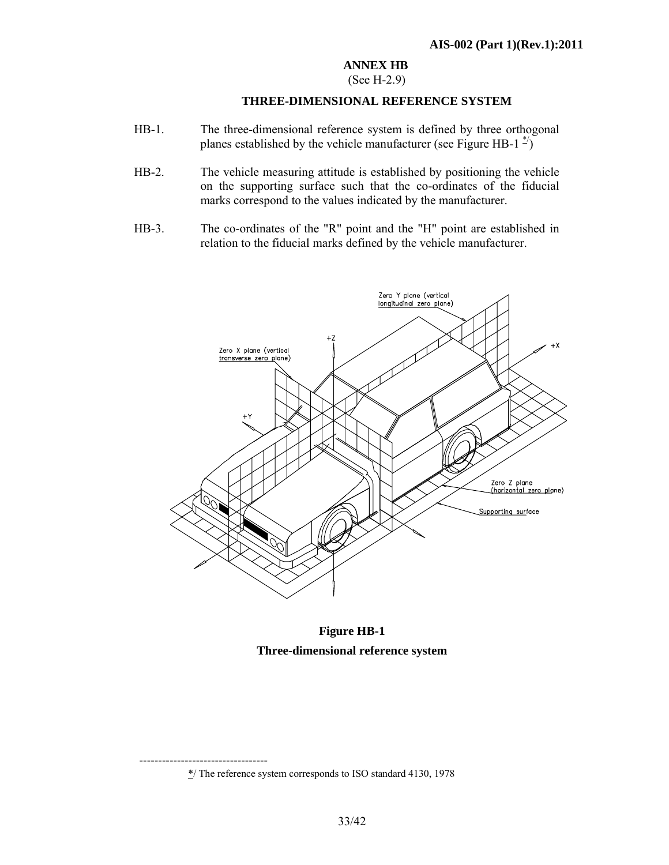# **ANNEX HB**

# (See H-2.9)

### **THREE-DIMENSIONAL REFERENCE SYSTEM**

- HB-1. The three-dimensional reference system is defined by three orthogonal planes established by the vehicle manufacturer (see Figure HB-1<sup> $\frac{4}{2}$ </sup>)
- HB-2. The vehicle measuring attitude is established by positioning the vehicle on the supporting surface such that the co-ordinates of the fiducial marks correspond to the values indicated by the manufacturer.
- HB-3. The co-ordinates of the "R" point and the "H" point are established in relation to the fiducial marks defined by the vehicle manufacturer.



**Figure HB-1 Three-dimensional reference system** 

<sup>‐‐‐‐‐‐‐‐‐‐‐‐‐‐‐‐‐‐‐‐‐‐‐‐‐‐‐‐‐‐‐‐‐‐</sup>  \*/ The reference system corresponds to ISO standard 4130, 1978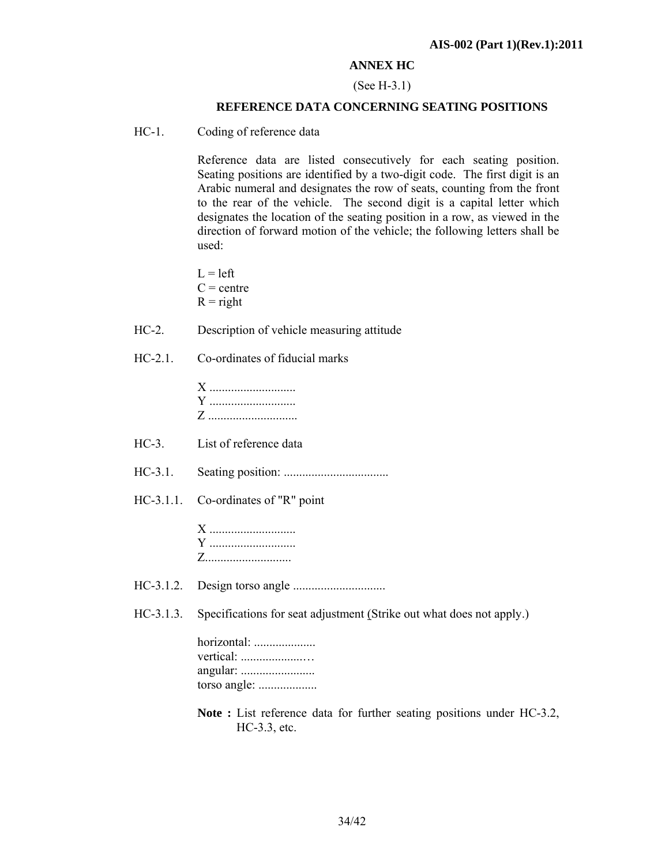### **ANNEX HC**

#### (See H-3.1)

### **REFERENCE DATA CONCERNING SEATING POSITIONS**

HC-1. Coding of reference data

 Reference data are listed consecutively for each seating position. Seating positions are identified by a two-digit code. The first digit is an Arabic numeral and designates the row of seats, counting from the front to the rear of the vehicle. The second digit is a capital letter which designates the location of the seating position in a row, as viewed in the direction of forward motion of the vehicle; the following letters shall be used:

 $L = left$  $C =$ centre  $R = right$ 

HC-2. Description of vehicle measuring attitude

### HC-2.1. Co-ordinates of fiducial marks

- HC-3. List of reference data
- HC-3.1. Seating position: ..................................
- HC-3.1.1. Co-ordinates of "R" point

X .................................. Y ............................ Z............................

- HC-3.1.2. Design torso angle ..............................
- HC-3.1.3. Specifications for seat adjustment (Strike out what does not apply.)

### **Note :** List reference data for further seating positions under HC-3.2, HC-3.3, etc.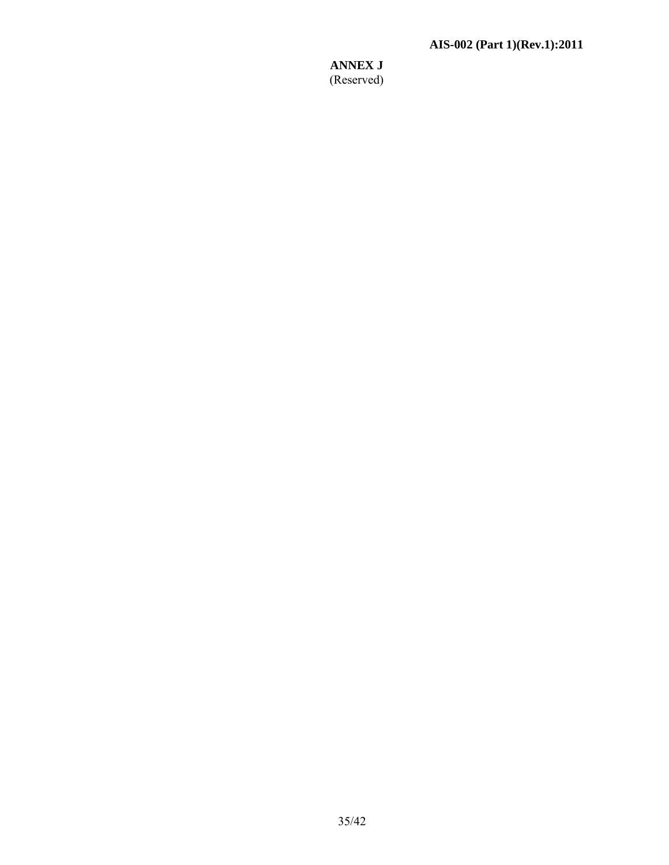**ANNEX J**  (Reserved)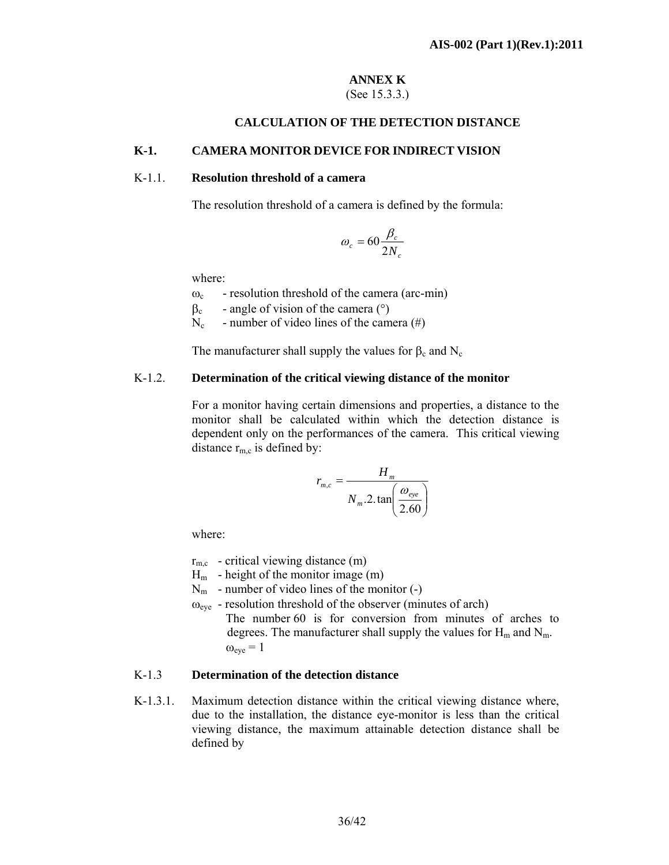# **ANNEX K**

# (See 15.3.3.)

### **CALCULATION OF THE DETECTION DISTANCE**

### **K-1. CAMERA MONITOR DEVICE FOR INDIRECT VISION**

### K-1.1. **Resolution threshold of a camera**

The resolution threshold of a camera is defined by the formula:

$$
\omega_c = 60 \frac{\beta_c}{2N_c}
$$

where:

- $\omega_c$  resolution threshold of the camera (arc-min)
- $β<sub>c</sub>$  angle of vision of the camera ( $°$ )
- $N_c$  number of video lines of the camera (#)

The manufacturer shall supply the values for  $\beta_c$  and  $N_c$ 

### K-1.2. **Determination of the critical viewing distance of the monitor**

 For a monitor having certain dimensions and properties, a distance to the monitor shall be calculated within which the detection distance is dependent only on the performances of the camera. This critical viewing distance  $r_{m,c}$  is defined by:

$$
r_{m,c} = \frac{H_m}{N_m \cdot 2 \cdot \tan\left(\frac{\omega_{eye}}{2.60}\right)}
$$

where:

 $r_{\text{m.c}}$  - critical viewing distance (m)

 $H<sub>m</sub>$  - height of the monitor image (m)

- $N_m$  number of video lines of the monitor  $(-)$
- $\omega_{\text{eve}}$  resolution threshold of the observer (minutes of arch)
	- The number 60 is for conversion from minutes of arches to degrees. The manufacturer shall supply the values for  $H_m$  and  $N_m$ .  $\omega_{\text{eve}} = 1$

### K-1.3 **Determination of the detection distance**

K-1.3.1. Maximum detection distance within the critical viewing distance where, due to the installation, the distance eye-monitor is less than the critical viewing distance, the maximum attainable detection distance shall be defined by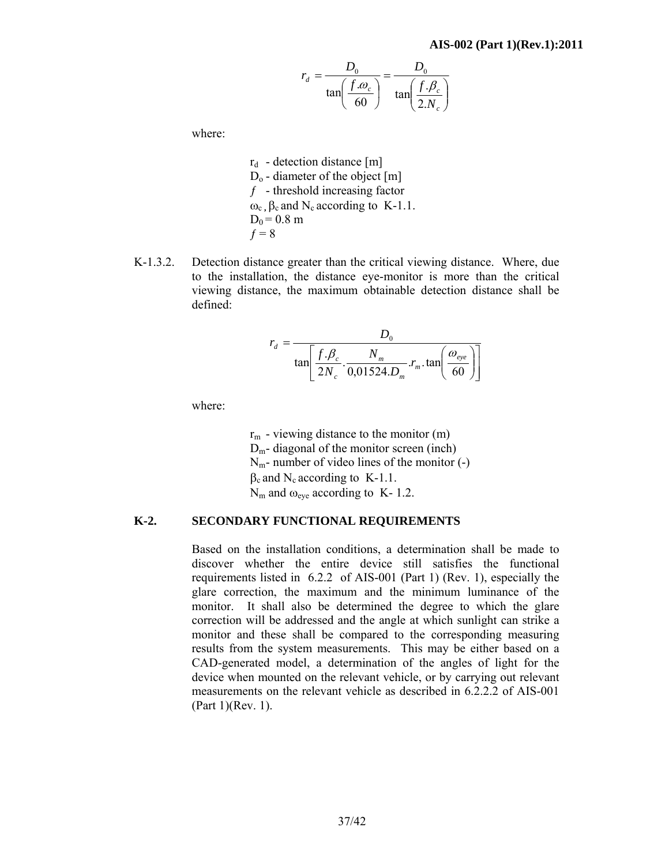$$
r_d = \frac{D_0}{\tan\left(\frac{f.\theta_c}{60}\right)} = \frac{D_0}{\tan\left(\frac{f.\theta_c}{2.N_c}\right)}
$$

where:

 $r_d$  - detection distance [m]  $D_0$  - diameter of the object [m]  $f$  - threshold increasing factor  $ω<sub>c</sub>$ ,  $β<sub>c</sub>$  and N<sub>c</sub> according to K-1.1.  $D_0 = 0.8$  m  $f = 8$ 

K-1.3.2. Detection distance greater than the critical viewing distance. Where, due to the installation, the distance eye-monitor is more than the critical viewing distance, the maximum obtainable detection distance shall be defined:

$$
r_d = \frac{D_0}{\tan\left[\frac{f.\beta_c}{2N_c} \cdot \frac{N_m}{0.01524.D_m} \cdot r_m \cdot \tan\left(\frac{\omega_{eye}}{60}\right)\right]}
$$

where:

 $r<sub>m</sub>$  - viewing distance to the monitor (m)  $D_m$ - diagonal of the monitor screen (inch)  $N_m$ - number of video lines of the monitor  $(-)$  $\beta_c$  and N<sub>c</sub> according to K-1.1.  $N_m$  and  $\omega_{\text{eve}}$  according to K- 1.2.

#### **K-2. SECONDARY FUNCTIONAL REQUIREMENTS**

Based on the installation conditions, a determination shall be made to discover whether the entire device still satisfies the functional requirements listed in 6.2.2 of AIS-001 (Part 1) (Rev. 1), especially the glare correction, the maximum and the minimum luminance of the monitor. It shall also be determined the degree to which the glare correction will be addressed and the angle at which sunlight can strike a monitor and these shall be compared to the corresponding measuring results from the system measurements. This may be either based on a CAD-generated model, a determination of the angles of light for the device when mounted on the relevant vehicle, or by carrying out relevant measurements on the relevant vehicle as described in 6.2.2.2 of AIS-001 (Part 1)(Rev. 1).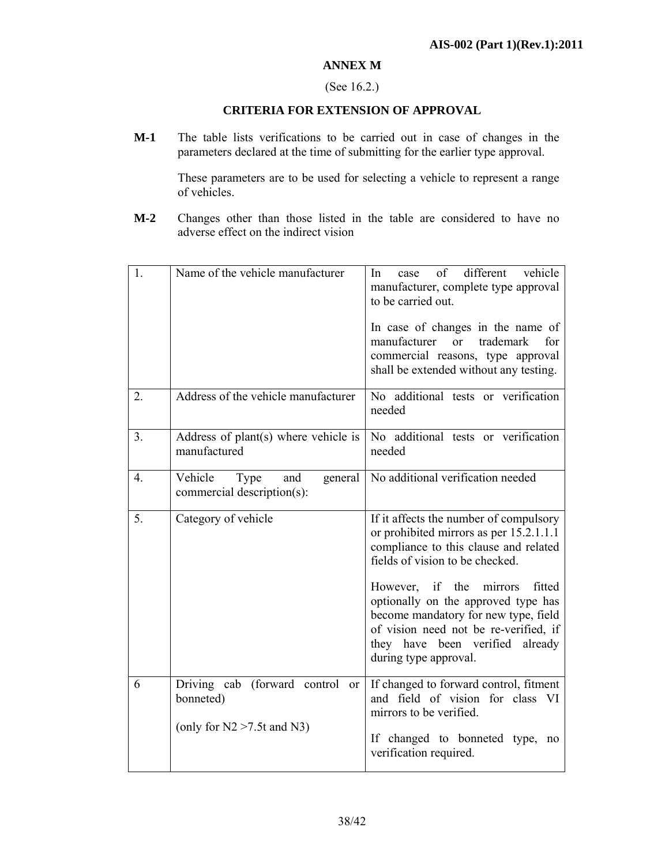### **ANNEX M**

### (See 16.2.)

### **CRITERIA FOR EXTENSION OF APPROVAL**

**M-1** The table lists verifications to be carried out in case of changes in the parameters declared at the time of submitting for the earlier type approval.

> These parameters are to be used for selecting a vehicle to represent a range of vehicles.

**M-2** Changes other than those listed in the table are considered to have no adverse effect on the indirect vision

| 1.               | Name of the vehicle manufacturer                                                       | different<br>vehicle<br>In<br>of<br>case<br>manufacturer, complete type approval<br>to be carried out.<br>In case of changes in the name of<br>manufacturer<br><b>or</b><br>trademark<br>for<br>commercial reasons, type approval<br>shall be extended without any testing.                                                                                                                  |
|------------------|----------------------------------------------------------------------------------------|----------------------------------------------------------------------------------------------------------------------------------------------------------------------------------------------------------------------------------------------------------------------------------------------------------------------------------------------------------------------------------------------|
| 2.               | Address of the vehicle manufacturer                                                    | No additional tests or verification<br>needed                                                                                                                                                                                                                                                                                                                                                |
| 3.               | Address of plant(s) where vehicle is<br>manufactured                                   | No additional tests or verification<br>needed                                                                                                                                                                                                                                                                                                                                                |
| $\overline{4}$ . | Vehicle<br>Type<br>and<br>general<br>commercial description(s):                        | No additional verification needed                                                                                                                                                                                                                                                                                                                                                            |
| 5.               | Category of vehicle                                                                    | If it affects the number of compulsory<br>or prohibited mirrors as per 15.2.1.1.1<br>compliance to this clause and related<br>fields of vision to be checked.<br>However, if the<br>mirrors<br>fitted<br>optionally on the approved type has<br>become mandatory for new type, field<br>of vision need not be re-verified, if<br>they have been verified<br>already<br>during type approval. |
| 6                | Driving cab<br>(forward control<br>or<br>bonneted)<br>(only for $N2 > 7.5t$ and $N3$ ) | If changed to forward control, fitment<br>and field of vision for class VI<br>mirrors to be verified.<br>If changed to bonneted type,<br>no<br>verification required.                                                                                                                                                                                                                        |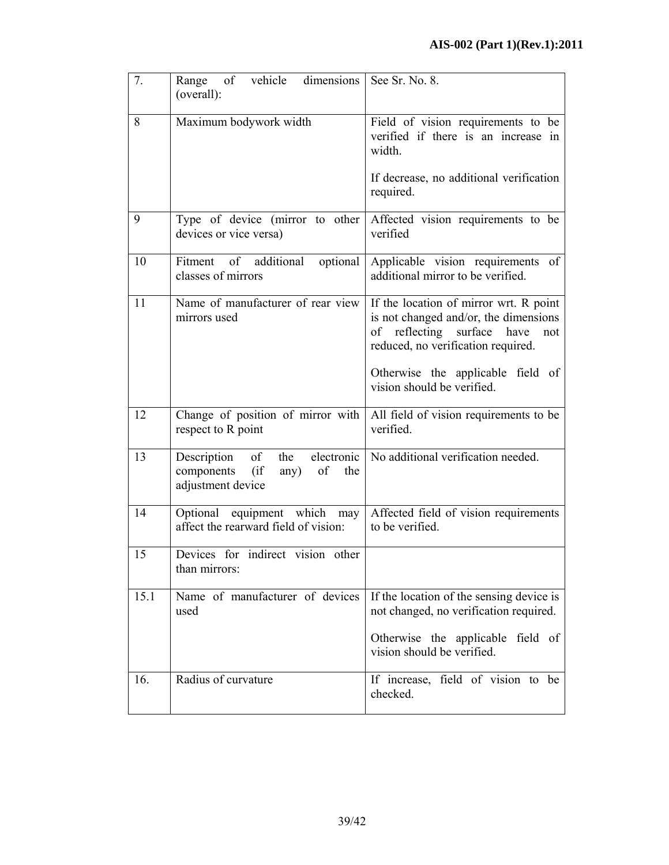| 7.   | of vehicle<br>dimensions<br>Range<br>(overall):                                          | See Sr. No. 8.                                                                                                                                             |
|------|------------------------------------------------------------------------------------------|------------------------------------------------------------------------------------------------------------------------------------------------------------|
| 8    | Maximum bodywork width                                                                   | Field of vision requirements to be<br>verified if there is an increase in<br>width.                                                                        |
|      |                                                                                          | If decrease, no additional verification<br>required.                                                                                                       |
| 9    | devices or vice versa)                                                                   | Type of device (mirror to other Affected vision requirements to be<br>verified                                                                             |
| 10   | Fitment of additional optional<br>classes of mirrors                                     | Applicable vision requirements<br>of<br>additional mirror to be verified.                                                                                  |
| 11   | Name of manufacturer of rear view<br>mirrors used                                        | If the location of mirror wrt. R point<br>is not changed and/or, the dimensions<br>of reflecting surface have<br>not<br>reduced, no verification required. |
|      |                                                                                          | Otherwise the applicable field of<br>vision should be verified.                                                                                            |
| 12   | Change of position of mirror with<br>respect to R point                                  | All field of vision requirements to be<br>verified.                                                                                                        |
| 13   | of<br>the<br>Description<br>(if)<br>components<br>of<br>any)<br>the<br>adjustment device | electronic   No additional verification needed.                                                                                                            |
| 14   | Optional equipment which may<br>affect the rearward field of vision:                     | Affected field of vision requirements<br>to be verified.                                                                                                   |
| 15   | Devices for indirect vision other<br>than mirrors:                                       |                                                                                                                                                            |
| 15.1 | Name of manufacturer of devices<br>used                                                  | If the location of the sensing device is<br>not changed, no verification required.                                                                         |
|      |                                                                                          | Otherwise the applicable field of<br>vision should be verified.                                                                                            |
| 16.  | Radius of curvature                                                                      | If increase, field of vision to be<br>checked.                                                                                                             |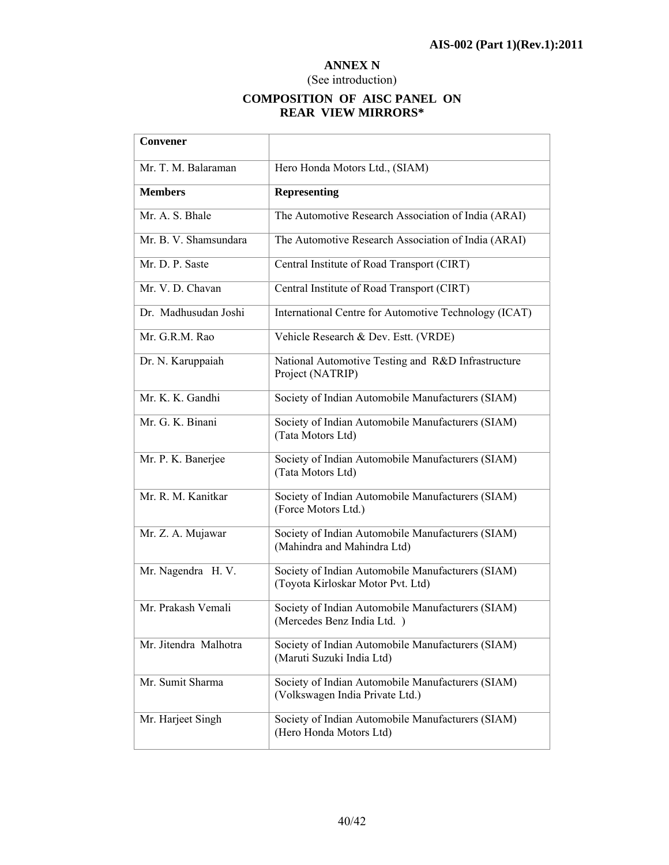### **ANNEX N**

## (See introduction)

## **COMPOSITION OF AISC PANEL ON REAR VIEW MIRRORS\***

| Convener              |                                                                                        |
|-----------------------|----------------------------------------------------------------------------------------|
| Mr. T. M. Balaraman   | Hero Honda Motors Ltd., (SIAM)                                                         |
| <b>Members</b>        | <b>Representing</b>                                                                    |
| Mr. A. S. Bhale       | The Automotive Research Association of India (ARAI)                                    |
| Mr. B. V. Shamsundara | The Automotive Research Association of India (ARAI)                                    |
| Mr. D. P. Saste       | Central Institute of Road Transport (CIRT)                                             |
| Mr. V. D. Chavan      | Central Institute of Road Transport (CIRT)                                             |
| Dr. Madhusudan Joshi  | International Centre for Automotive Technology (ICAT)                                  |
| Mr. G.R.M. Rao        | Vehicle Research & Dev. Estt. (VRDE)                                                   |
| Dr. N. Karuppaiah     | National Automotive Testing and R&D Infrastructure<br>Project (NATRIP)                 |
| Mr. K. K. Gandhi      | Society of Indian Automobile Manufacturers (SIAM)                                      |
| Mr. G. K. Binani      | Society of Indian Automobile Manufacturers (SIAM)<br>(Tata Motors Ltd)                 |
| Mr. P. K. Banerjee    | Society of Indian Automobile Manufacturers (SIAM)<br>(Tata Motors Ltd)                 |
| Mr. R. M. Kanitkar    | Society of Indian Automobile Manufacturers (SIAM)<br>(Force Motors Ltd.)               |
| Mr. Z. A. Mujawar     | Society of Indian Automobile Manufacturers (SIAM)<br>(Mahindra and Mahindra Ltd)       |
| Mr. Nagendra H. V.    | Society of Indian Automobile Manufacturers (SIAM)<br>(Toyota Kirloskar Motor Pvt. Ltd) |
| Mr. Prakash Vemali    | Society of Indian Automobile Manufacturers (SIAM)<br>(Mercedes Benz India Ltd.)        |
| Mr. Jitendra Malhotra | Society of Indian Automobile Manufacturers (SIAM)<br>(Maruti Suzuki India Ltd)         |
| Mr. Sumit Sharma      | Society of Indian Automobile Manufacturers (SIAM)<br>(Volkswagen India Private Ltd.)   |
| Mr. Harjeet Singh     | Society of Indian Automobile Manufacturers (SIAM)<br>(Hero Honda Motors Ltd)           |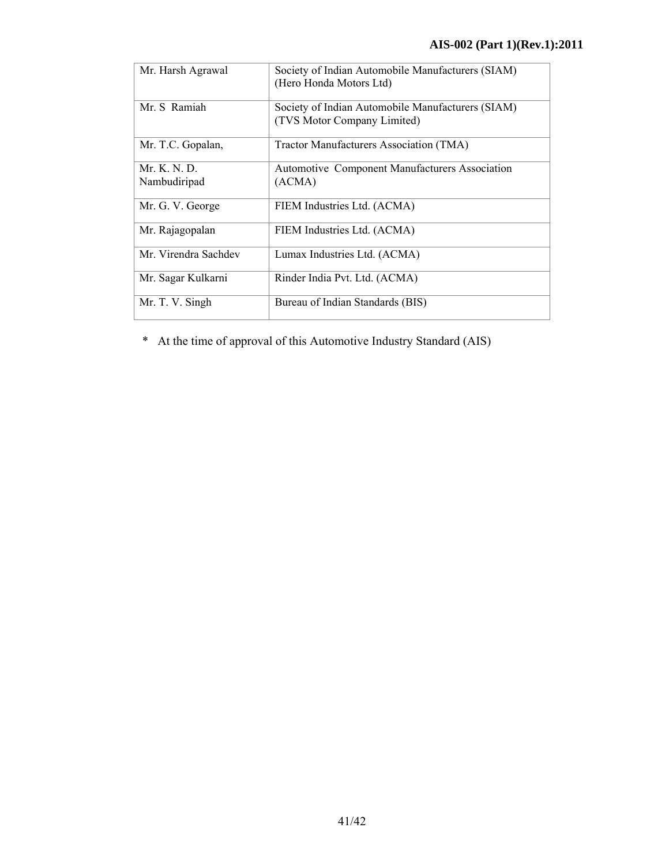| Mr. Harsh Agrawal            | Society of Indian Automobile Manufacturers (SIAM)<br>(Hero Honda Motors Ltd)     |
|------------------------------|----------------------------------------------------------------------------------|
| Mr. S. Ramiah                | Society of Indian Automobile Manufacturers (SIAM)<br>(TVS Motor Company Limited) |
| Mr. T.C. Gopalan,            | Tractor Manufacturers Association (TMA)                                          |
| Mr. K. N. D.<br>Nambudiripad | <b>Automotive Component Manufacturers Association</b><br>(ACMA)                  |
| Mr. G. V. George             | FIEM Industries Ltd. (ACMA)                                                      |
| Mr. Rajagopalan              | FIEM Industries Ltd. (ACMA)                                                      |
| Mr. Virendra Sachdev         | Lumax Industries Ltd. (ACMA)                                                     |
| Mr. Sagar Kulkarni           | Rinder India Pvt. Ltd. (ACMA)                                                    |
| Mr. T. V. Singh              | Bureau of Indian Standards (BIS)                                                 |

\* At the time of approval of this Automotive Industry Standard (AIS)